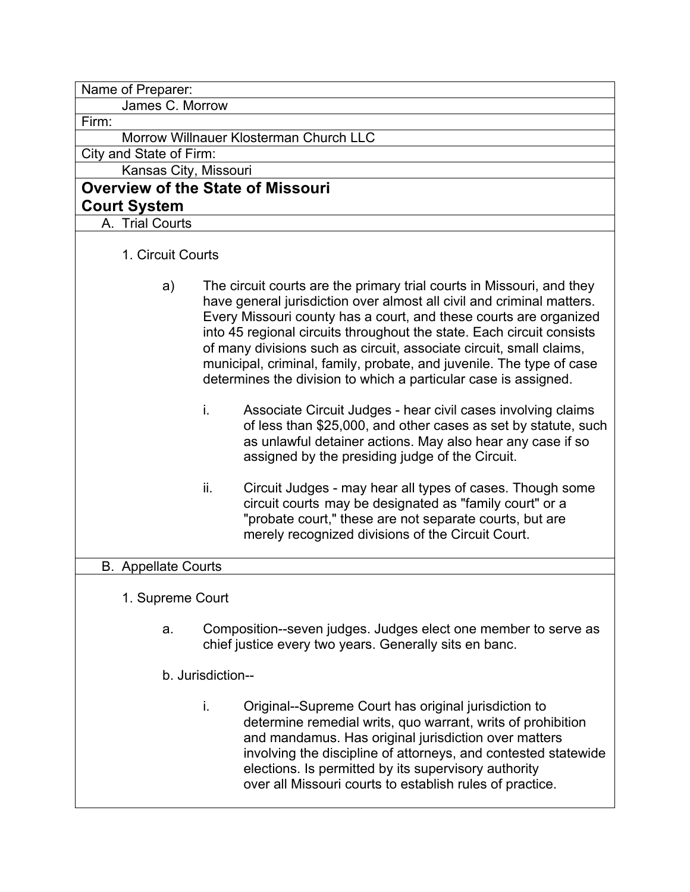| Name of Preparer:                      |                                                                                                                                                                                                                                                                                                                                                                                                                                                                                                                                                                                                                                                                                                                                                                         |  |  |  |  |  |
|----------------------------------------|-------------------------------------------------------------------------------------------------------------------------------------------------------------------------------------------------------------------------------------------------------------------------------------------------------------------------------------------------------------------------------------------------------------------------------------------------------------------------------------------------------------------------------------------------------------------------------------------------------------------------------------------------------------------------------------------------------------------------------------------------------------------------|--|--|--|--|--|
| James C. Morrow                        |                                                                                                                                                                                                                                                                                                                                                                                                                                                                                                                                                                                                                                                                                                                                                                         |  |  |  |  |  |
| Firm:                                  |                                                                                                                                                                                                                                                                                                                                                                                                                                                                                                                                                                                                                                                                                                                                                                         |  |  |  |  |  |
| Morrow Willnauer Klosterman Church LLC |                                                                                                                                                                                                                                                                                                                                                                                                                                                                                                                                                                                                                                                                                                                                                                         |  |  |  |  |  |
| City and State of Firm:                |                                                                                                                                                                                                                                                                                                                                                                                                                                                                                                                                                                                                                                                                                                                                                                         |  |  |  |  |  |
| Kansas City, Missouri                  |                                                                                                                                                                                                                                                                                                                                                                                                                                                                                                                                                                                                                                                                                                                                                                         |  |  |  |  |  |
|                                        | <b>Overview of the State of Missouri</b>                                                                                                                                                                                                                                                                                                                                                                                                                                                                                                                                                                                                                                                                                                                                |  |  |  |  |  |
| <b>Court System</b>                    |                                                                                                                                                                                                                                                                                                                                                                                                                                                                                                                                                                                                                                                                                                                                                                         |  |  |  |  |  |
| A. Trial Courts                        |                                                                                                                                                                                                                                                                                                                                                                                                                                                                                                                                                                                                                                                                                                                                                                         |  |  |  |  |  |
| 1. Circuit Courts                      |                                                                                                                                                                                                                                                                                                                                                                                                                                                                                                                                                                                                                                                                                                                                                                         |  |  |  |  |  |
| a)                                     | The circuit courts are the primary trial courts in Missouri, and they<br>have general jurisdiction over almost all civil and criminal matters.<br>Every Missouri county has a court, and these courts are organized<br>into 45 regional circuits throughout the state. Each circuit consists<br>of many divisions such as circuit, associate circuit, small claims,<br>municipal, criminal, family, probate, and juvenile. The type of case<br>determines the division to which a particular case is assigned.<br>i.<br>Associate Circuit Judges - hear civil cases involving claims<br>of less than \$25,000, and other cases as set by statute, such<br>as unlawful detainer actions. May also hear any case if so<br>assigned by the presiding judge of the Circuit. |  |  |  |  |  |
|                                        | ii.<br>Circuit Judges - may hear all types of cases. Though some<br>circuit courts may be designated as "family court" or a<br>"probate court," these are not separate courts, but are<br>merely recognized divisions of the Circuit Court.                                                                                                                                                                                                                                                                                                                                                                                                                                                                                                                             |  |  |  |  |  |
| <b>B.</b> Appellate Courts             |                                                                                                                                                                                                                                                                                                                                                                                                                                                                                                                                                                                                                                                                                                                                                                         |  |  |  |  |  |
| 1. Supreme Court                       |                                                                                                                                                                                                                                                                                                                                                                                                                                                                                                                                                                                                                                                                                                                                                                         |  |  |  |  |  |
| a.                                     | Composition--seven judges. Judges elect one member to serve as<br>chief justice every two years. Generally sits en banc.                                                                                                                                                                                                                                                                                                                                                                                                                                                                                                                                                                                                                                                |  |  |  |  |  |
| b. Jurisdiction--                      |                                                                                                                                                                                                                                                                                                                                                                                                                                                                                                                                                                                                                                                                                                                                                                         |  |  |  |  |  |
|                                        | Original--Supreme Court has original jurisdiction to<br>i.<br>determine remedial writs, quo warrant, writs of prohibition<br>and mandamus. Has original jurisdiction over matters<br>involving the discipline of attorneys, and contested statewide<br>elections. Is permitted by its supervisory authority<br>over all Missouri courts to establish rules of practice.                                                                                                                                                                                                                                                                                                                                                                                                 |  |  |  |  |  |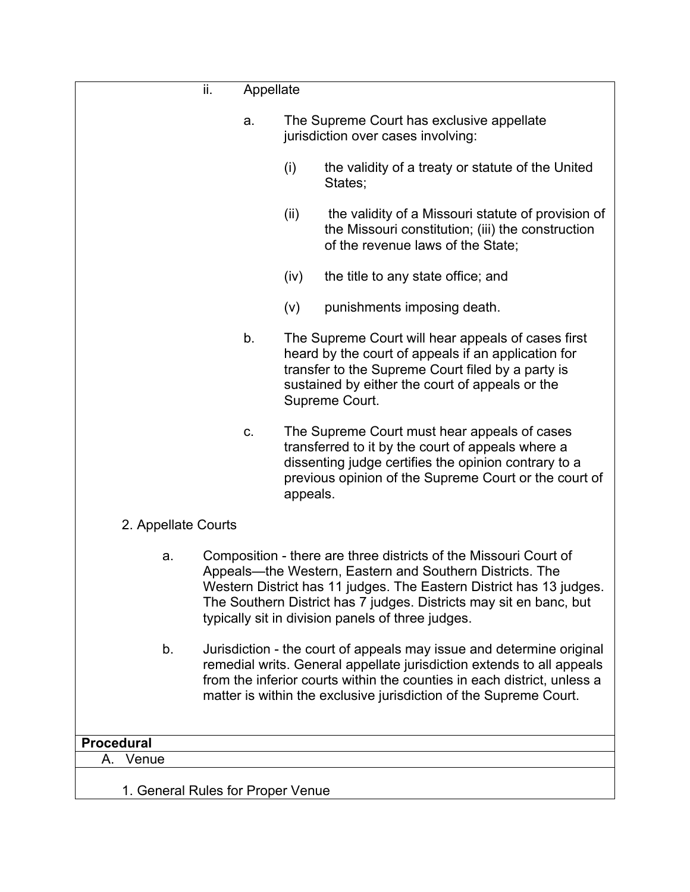| ii.                               | Appellate                                                                                                                                                                                                                                                                                                                      |          |                                                                                                                                                                                                                                                                                               |  |
|-----------------------------------|--------------------------------------------------------------------------------------------------------------------------------------------------------------------------------------------------------------------------------------------------------------------------------------------------------------------------------|----------|-----------------------------------------------------------------------------------------------------------------------------------------------------------------------------------------------------------------------------------------------------------------------------------------------|--|
|                                   | a.                                                                                                                                                                                                                                                                                                                             |          | The Supreme Court has exclusive appellate<br>jurisdiction over cases involving:                                                                                                                                                                                                               |  |
|                                   |                                                                                                                                                                                                                                                                                                                                | (i)      | the validity of a treaty or statute of the United<br>States;                                                                                                                                                                                                                                  |  |
|                                   |                                                                                                                                                                                                                                                                                                                                | (ii)     | the validity of a Missouri statute of provision of<br>the Missouri constitution; (iii) the construction<br>of the revenue laws of the State;                                                                                                                                                  |  |
|                                   |                                                                                                                                                                                                                                                                                                                                | (iv)     | the title to any state office; and                                                                                                                                                                                                                                                            |  |
|                                   |                                                                                                                                                                                                                                                                                                                                | (v)      | punishments imposing death.                                                                                                                                                                                                                                                                   |  |
|                                   | b.                                                                                                                                                                                                                                                                                                                             |          | The Supreme Court will hear appeals of cases first<br>heard by the court of appeals if an application for<br>transfer to the Supreme Court filed by a party is<br>sustained by either the court of appeals or the<br>Supreme Court.                                                           |  |
|                                   | C.                                                                                                                                                                                                                                                                                                                             | appeals. | The Supreme Court must hear appeals of cases<br>transferred to it by the court of appeals where a<br>dissenting judge certifies the opinion contrary to a<br>previous opinion of the Supreme Court or the court of                                                                            |  |
| 2. Appellate Courts               |                                                                                                                                                                                                                                                                                                                                |          |                                                                                                                                                                                                                                                                                               |  |
| a.                                | Composition - there are three districts of the Missouri Court of<br>Appeals—the Western, Eastern and Southern Districts. The<br>Western District has 11 judges. The Eastern District has 13 judges.<br>The Southern District has 7 judges. Districts may sit en banc, but<br>typically sit in division panels of three judges. |          |                                                                                                                                                                                                                                                                                               |  |
| b.                                |                                                                                                                                                                                                                                                                                                                                |          | Jurisdiction - the court of appeals may issue and determine original<br>remedial writs. General appellate jurisdiction extends to all appeals<br>from the inferior courts within the counties in each district, unless a<br>matter is within the exclusive jurisdiction of the Supreme Court. |  |
| <b>Procedural</b>                 |                                                                                                                                                                                                                                                                                                                                |          |                                                                                                                                                                                                                                                                                               |  |
| Venue<br>А.                       |                                                                                                                                                                                                                                                                                                                                |          |                                                                                                                                                                                                                                                                                               |  |
| 1. General Rules for Proper Venue |                                                                                                                                                                                                                                                                                                                                |          |                                                                                                                                                                                                                                                                                               |  |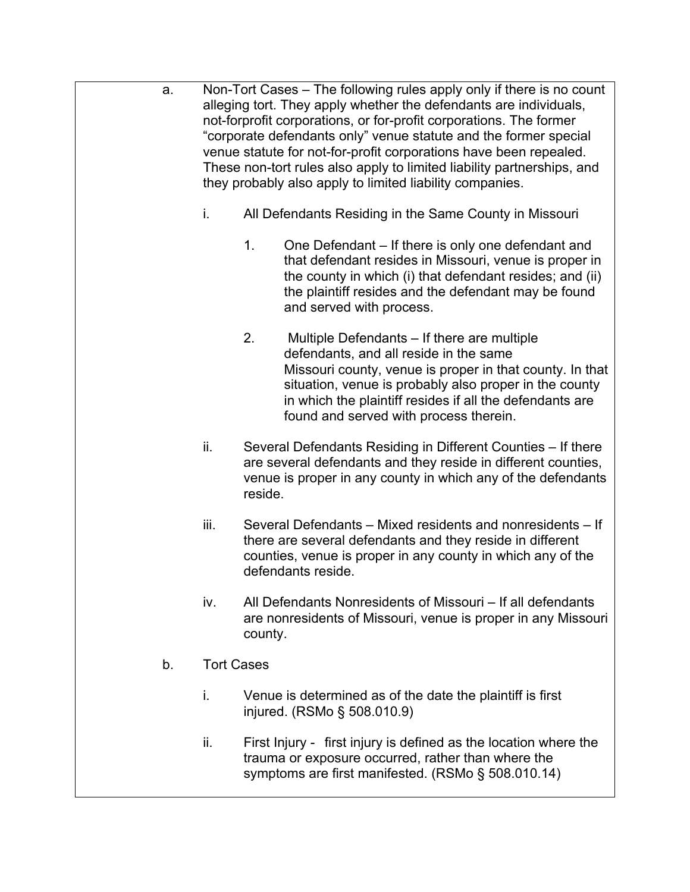- a. Non-Tort Cases The following rules apply only if there is no count alleging tort. They apply whether the defendants are individuals, not-forprofit corporations, or for-profit corporations. The former "corporate defendants only" venue statute and the former special venue statute for not-for-profit corporations have been repealed. These non-tort rules also apply to limited liability partnerships, and they probably also apply to limited liability companies.
	- i. All Defendants Residing in the Same County in Missouri
		- 1. One Defendant If there is only one defendant and that defendant resides in Missouri, venue is proper in the county in which (i) that defendant resides; and (ii) the plaintiff resides and the defendant may be found and served with process.
		- 2. Multiple Defendants If there are multiple defendants, and all reside in the same Missouri county, venue is proper in that county. In that situation, venue is probably also proper in the county in which the plaintiff resides if all the defendants are found and served with process therein.
	- ii. Several Defendants Residing in Different Counties If there are several defendants and they reside in different counties, venue is proper in any county in which any of the defendants reside.
	- iii. Several Defendants Mixed residents and nonresidents If there are several defendants and they reside in different counties, venue is proper in any county in which any of the defendants reside.
	- iv. All Defendants Nonresidents of Missouri If all defendants are nonresidents of Missouri, venue is proper in any Missouri county.
	- b. Tort Cases
		- i. Venue is determined as of the date the plaintiff is first injured. (RSMo § 508.010.9)
		- ii. First Injury first injury is defined as the location where the trauma or exposure occurred, rather than where the symptoms are first manifested. (RSMo § 508.010.14)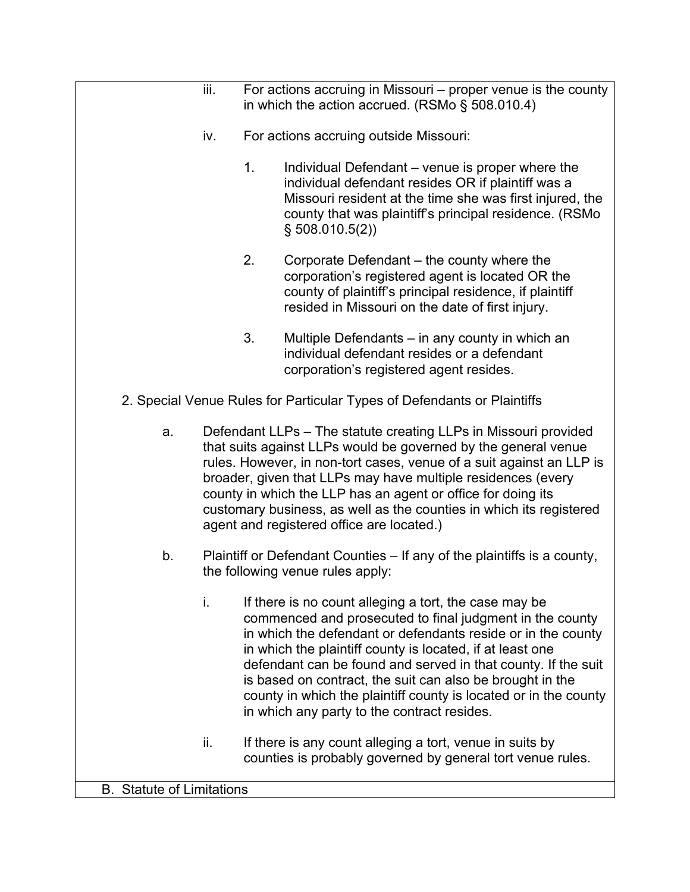|                                  | iii.                                                                                                                                                                                                                                                                                                                                                                                                                                                          | For actions accruing in Missouri – proper venue is the county<br>in which the action accrued. (RSMo § 508.010.4)                                                                                                                                                                                                                                                                                                                                                                                |                                                                                                                                                                                                                                                 |  |  |
|----------------------------------|---------------------------------------------------------------------------------------------------------------------------------------------------------------------------------------------------------------------------------------------------------------------------------------------------------------------------------------------------------------------------------------------------------------------------------------------------------------|-------------------------------------------------------------------------------------------------------------------------------------------------------------------------------------------------------------------------------------------------------------------------------------------------------------------------------------------------------------------------------------------------------------------------------------------------------------------------------------------------|-------------------------------------------------------------------------------------------------------------------------------------------------------------------------------------------------------------------------------------------------|--|--|
|                                  | iv.                                                                                                                                                                                                                                                                                                                                                                                                                                                           |                                                                                                                                                                                                                                                                                                                                                                                                                                                                                                 | For actions accruing outside Missouri:                                                                                                                                                                                                          |  |  |
|                                  |                                                                                                                                                                                                                                                                                                                                                                                                                                                               | 1.                                                                                                                                                                                                                                                                                                                                                                                                                                                                                              | Individual Defendant – venue is proper where the<br>individual defendant resides OR if plaintiff was a<br>Missouri resident at the time she was first injured, the<br>county that was plaintiff's principal residence. (RSMo<br>\$508.010.5(2)] |  |  |
|                                  |                                                                                                                                                                                                                                                                                                                                                                                                                                                               | 2.                                                                                                                                                                                                                                                                                                                                                                                                                                                                                              | Corporate Defendant – the county where the<br>corporation's registered agent is located OR the<br>county of plaintiff's principal residence, if plaintiff<br>resided in Missouri on the date of first injury.                                   |  |  |
|                                  |                                                                                                                                                                                                                                                                                                                                                                                                                                                               | 3.                                                                                                                                                                                                                                                                                                                                                                                                                                                                                              | Multiple Defendants – in any county in which an<br>individual defendant resides or a defendant<br>corporation's registered agent resides.                                                                                                       |  |  |
|                                  |                                                                                                                                                                                                                                                                                                                                                                                                                                                               |                                                                                                                                                                                                                                                                                                                                                                                                                                                                                                 | 2. Special Venue Rules for Particular Types of Defendants or Plaintiffs                                                                                                                                                                         |  |  |
| a.                               | Defendant LLPs - The statute creating LLPs in Missouri provided<br>that suits against LLPs would be governed by the general venue<br>rules. However, in non-tort cases, venue of a suit against an LLP is<br>broader, given that LLPs may have multiple residences (every<br>county in which the LLP has an agent or office for doing its<br>customary business, as well as the counties in which its registered<br>agent and registered office are located.) |                                                                                                                                                                                                                                                                                                                                                                                                                                                                                                 |                                                                                                                                                                                                                                                 |  |  |
| b.                               | Plaintiff or Defendant Counties - If any of the plaintiffs is a county,<br>the following venue rules apply:                                                                                                                                                                                                                                                                                                                                                   |                                                                                                                                                                                                                                                                                                                                                                                                                                                                                                 |                                                                                                                                                                                                                                                 |  |  |
|                                  | i.                                                                                                                                                                                                                                                                                                                                                                                                                                                            | If there is no count alleging a tort, the case may be<br>commenced and prosecuted to final judgment in the county<br>in which the defendant or defendants reside or in the county<br>in which the plaintiff county is located, if at least one<br>defendant can be found and served in that county. If the suit<br>is based on contract, the suit can also be brought in the<br>county in which the plaintiff county is located or in the county<br>in which any party to the contract resides. |                                                                                                                                                                                                                                                 |  |  |
|                                  | ii.                                                                                                                                                                                                                                                                                                                                                                                                                                                           |                                                                                                                                                                                                                                                                                                                                                                                                                                                                                                 | If there is any count alleging a tort, venue in suits by<br>counties is probably governed by general tort venue rules.                                                                                                                          |  |  |
| <b>B.</b> Statute of Limitations |                                                                                                                                                                                                                                                                                                                                                                                                                                                               |                                                                                                                                                                                                                                                                                                                                                                                                                                                                                                 |                                                                                                                                                                                                                                                 |  |  |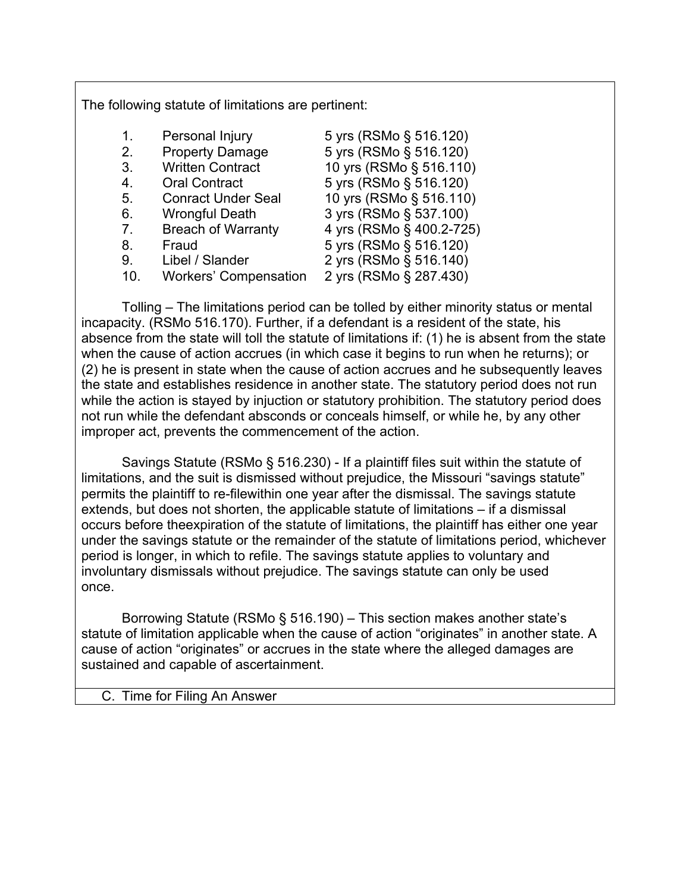The following statute of limitations are pertinent:

| 5 yrs (RSMo § 516.120)   |
|--------------------------|
| 5 yrs (RSMo § 516.120)   |
| 10 yrs (RSMo § 516.110)  |
| 5 yrs (RSMo § 516.120)   |
| 10 yrs (RSMo § 516.110)  |
| 3 yrs (RSMo § 537.100)   |
| 4 yrs (RSMo § 400.2-725) |
| 5 yrs (RSMo § 516.120)   |
| 2 yrs (RSMo § 516.140)   |
| 2 yrs (RSMo § 287.430)   |
|                          |

Tolling – The limitations period can be tolled by either minority status or mental incapacity. (RSMo 516.170). Further, if a defendant is a resident of the state, his absence from the state will toll the statute of limitations if: (1) he is absent from the state when the cause of action accrues (in which case it begins to run when he returns); or (2) he is present in state when the cause of action accrues and he subsequently leaves the state and establishes residence in another state. The statutory period does not run while the action is stayed by injuction or statutory prohibition. The statutory period does not run while the defendant absconds or conceals himself, or while he, by any other improper act, prevents the commencement of the action.

Savings Statute (RSMo § 516.230) - If a plaintiff files suit within the statute of limitations, and the suit is dismissed without prejudice, the Missouri "savings statute" permits the plaintiff to re-filewithin one year after the dismissal. The savings statute extends, but does not shorten, the applicable statute of limitations – if a dismissal occurs before theexpiration of the statute of limitations, the plaintiff has either one year under the savings statute or the remainder of the statute of limitations period, whichever period is longer, in which to refile. The savings statute applies to voluntary and involuntary dismissals without prejudice. The savings statute can only be used once.

Borrowing Statute (RSMo § 516.190) – This section makes another state's statute of limitation applicable when the cause of action "originates" in another state. A cause of action "originates" or accrues in the state where the alleged damages are sustained and capable of ascertainment.

C. Time for Filing An Answer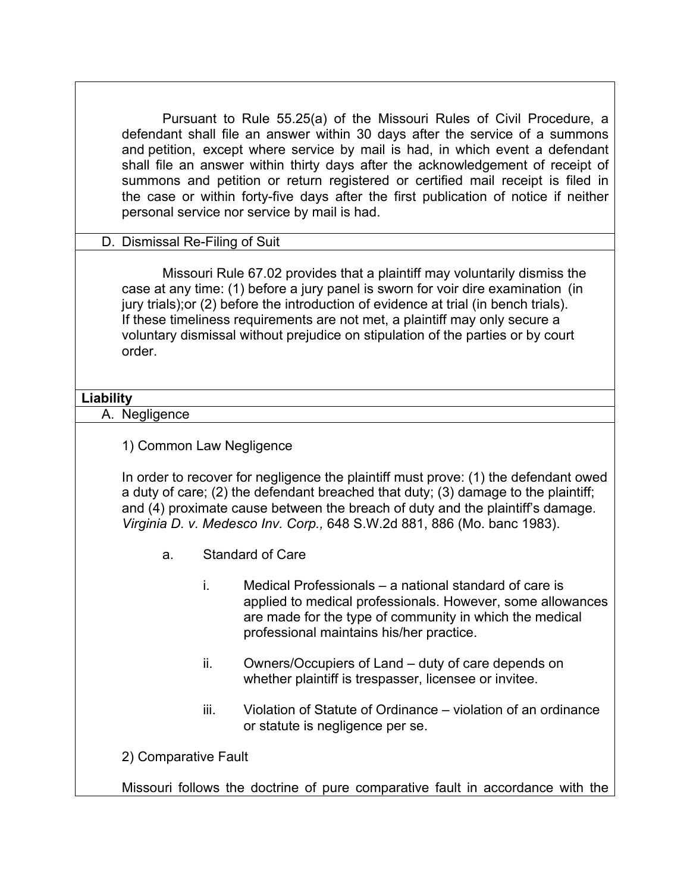| Pursuant to Rule 55.25(a) of the Missouri Rules of Civil Procedure, a<br>defendant shall file an answer within 30 days after the service of a summons<br>and petition, except where service by mail is had, in which event a defendant<br>shall file an answer within thirty days after the acknowledgement of receipt of<br>summons and petition or return registered or certified mail receipt is filed in                      |                                                                                                                                     |                                                                                                                                                                                                                             |  |  |  |  |  |  |
|-----------------------------------------------------------------------------------------------------------------------------------------------------------------------------------------------------------------------------------------------------------------------------------------------------------------------------------------------------------------------------------------------------------------------------------|-------------------------------------------------------------------------------------------------------------------------------------|-----------------------------------------------------------------------------------------------------------------------------------------------------------------------------------------------------------------------------|--|--|--|--|--|--|
|                                                                                                                                                                                                                                                                                                                                                                                                                                   | the case or within forty-five days after the first publication of notice if neither<br>personal service nor service by mail is had. |                                                                                                                                                                                                                             |  |  |  |  |  |  |
| D. Dismissal Re-Filing of Suit                                                                                                                                                                                                                                                                                                                                                                                                    |                                                                                                                                     |                                                                                                                                                                                                                             |  |  |  |  |  |  |
| Missouri Rule 67.02 provides that a plaintiff may voluntarily dismiss the<br>case at any time: (1) before a jury panel is sworn for voir dire examination (in<br>jury trials); or (2) before the introduction of evidence at trial (in bench trials).<br>If these timeliness requirements are not met, a plaintiff may only secure a<br>voluntary dismissal without prejudice on stipulation of the parties or by court<br>order. |                                                                                                                                     |                                                                                                                                                                                                                             |  |  |  |  |  |  |
| <b>Liability</b>                                                                                                                                                                                                                                                                                                                                                                                                                  |                                                                                                                                     |                                                                                                                                                                                                                             |  |  |  |  |  |  |
| A. Negligence                                                                                                                                                                                                                                                                                                                                                                                                                     |                                                                                                                                     |                                                                                                                                                                                                                             |  |  |  |  |  |  |
|                                                                                                                                                                                                                                                                                                                                                                                                                                   | 1) Common Law Negligence                                                                                                            |                                                                                                                                                                                                                             |  |  |  |  |  |  |
| In order to recover for negligence the plaintiff must prove: (1) the defendant owed<br>a duty of care; (2) the defendant breached that duty; (3) damage to the plaintiff;<br>and (4) proximate cause between the breach of duty and the plaintiff's damage.<br>Virginia D. v. Medesco Inv. Corp., 648 S.W.2d 881, 886 (Mo. banc 1983).                                                                                            |                                                                                                                                     |                                                                                                                                                                                                                             |  |  |  |  |  |  |
| a.                                                                                                                                                                                                                                                                                                                                                                                                                                | <b>Standard of Care</b>                                                                                                             |                                                                                                                                                                                                                             |  |  |  |  |  |  |
|                                                                                                                                                                                                                                                                                                                                                                                                                                   |                                                                                                                                     | Medical Professionals – a national standard of care is<br>applied to medical professionals. However, some allowances<br>are made for the type of community in which the medical<br>professional maintains his/her practice. |  |  |  |  |  |  |
|                                                                                                                                                                                                                                                                                                                                                                                                                                   | ii.                                                                                                                                 | Owners/Occupiers of Land – duty of care depends on<br>whether plaintiff is trespasser, licensee or invitee.                                                                                                                 |  |  |  |  |  |  |
|                                                                                                                                                                                                                                                                                                                                                                                                                                   | iii.                                                                                                                                | Violation of Statute of Ordinance – violation of an ordinance<br>or statute is negligence per se.                                                                                                                           |  |  |  |  |  |  |
| 2) Comparative Fault                                                                                                                                                                                                                                                                                                                                                                                                              |                                                                                                                                     |                                                                                                                                                                                                                             |  |  |  |  |  |  |
|                                                                                                                                                                                                                                                                                                                                                                                                                                   | Missouri follows the doctrine of pure comparative fault in accordance with the                                                      |                                                                                                                                                                                                                             |  |  |  |  |  |  |

ן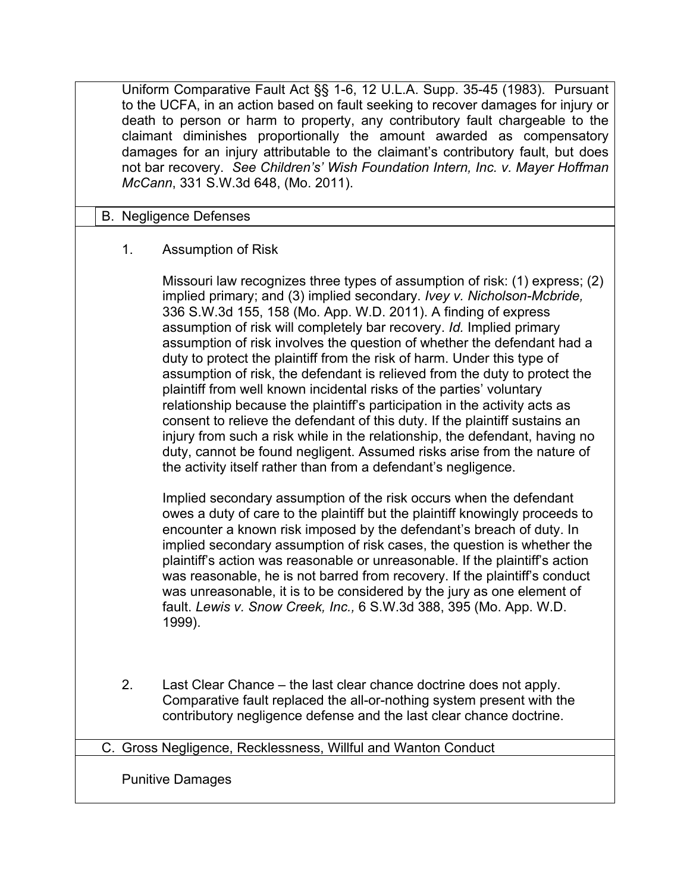Uniform Comparative Fault Act §§ 1-6, 12 U.L.A. Supp. 35-45 (1983). Pursuant to the UCFA, in an action based on fault seeking to recover damages for injury or death to person or harm to property, any contributory fault chargeable to the claimant diminishes proportionally the amount awarded as compensatory damages for an injury attributable to the claimant's contributory fault, but does not bar recovery. *See Children's' Wish Foundation Intern, Inc. v. Mayer Hoffman McCann*, 331 S.W.3d 648, (Mo. 2011).

### B. Negligence Defenses

### 1. Assumption of Risk

Missouri law recognizes three types of assumption of risk: (1) express; (2) implied primary; and (3) implied secondary. *Ivey v. Nicholson-Mcbride,*  336 S.W.3d 155, 158 (Mo. App. W.D. 2011). A finding of express assumption of risk will completely bar recovery. *Id.* Implied primary assumption of risk involves the question of whether the defendant had a duty to protect the plaintiff from the risk of harm. Under this type of assumption of risk, the defendant is relieved from the duty to protect the plaintiff from well known incidental risks of the parties' voluntary relationship because the plaintiff's participation in the activity acts as consent to relieve the defendant of this duty. If the plaintiff sustains an injury from such a risk while in the relationship, the defendant, having no duty, cannot be found negligent. Assumed risks arise from the nature of the activity itself rather than from a defendant's negligence.

Implied secondary assumption of the risk occurs when the defendant owes a duty of care to the plaintiff but the plaintiff knowingly proceeds to encounter a known risk imposed by the defendant's breach of duty. In implied secondary assumption of risk cases, the question is whether the plaintiff's action was reasonable or unreasonable. If the plaintiff's action was reasonable, he is not barred from recovery. If the plaintiff's conduct was unreasonable, it is to be considered by the jury as one element of fault. *Lewis v. Snow Creek, Inc.,* 6 S.W.3d 388, 395 (Mo. App. W.D. 1999).

2. Last Clear Chance – the last clear chance doctrine does not apply. Comparative fault replaced the all-or-nothing system present with the contributory negligence defense and the last clear chance doctrine.

#### C. Gross Negligence, Recklessness, Willful and Wanton Conduct

Punitive Damages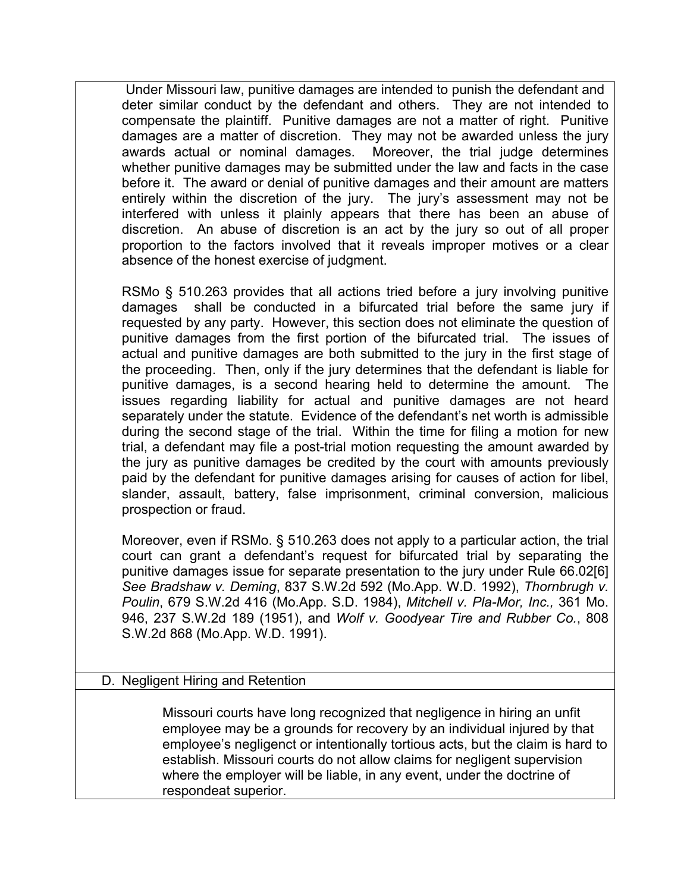Under Missouri law, punitive damages are intended to punish the defendant and deter similar conduct by the defendant and others. They are not intended to compensate the plaintiff. Punitive damages are not a matter of right. Punitive damages are a matter of discretion. They may not be awarded unless the jury awards actual or nominal damages. Moreover, the trial judge determines whether punitive damages may be submitted under the law and facts in the case before it. The award or denial of punitive damages and their amount are matters entirely within the discretion of the jury. The jury's assessment may not be interfered with unless it plainly appears that there has been an abuse of discretion. An abuse of discretion is an act by the jury so out of all proper proportion to the factors involved that it reveals improper motives or a clear absence of the honest exercise of judgment.

RSMo § 510.263 provides that all actions tried before a jury involving punitive damages shall be conducted in a bifurcated trial before the same jury if requested by any party. However, this section does not eliminate the question of punitive damages from the first portion of the bifurcated trial. The issues of actual and punitive damages are both submitted to the jury in the first stage of the proceeding. Then, only if the jury determines that the defendant is liable for punitive damages, is a second hearing held to determine the amount. The issues regarding liability for actual and punitive damages are not heard separately under the statute. Evidence of the defendant's net worth is admissible during the second stage of the trial. Within the time for filing a motion for new trial, a defendant may file a post-trial motion requesting the amount awarded by the jury as punitive damages be credited by the court with amounts previously paid by the defendant for punitive damages arising for causes of action for libel, slander, assault, battery, false imprisonment, criminal conversion, malicious prospection or fraud.

Moreover, even if RSMo. § 510.263 does not apply to a particular action, the trial court can grant a defendant's request for bifurcated trial by separating the punitive damages issue for separate presentation to the jury under Rule 66.02[6] *See Bradshaw v. Deming*, 837 S.W.2d 592 (Mo.App. W.D. 1992), *Thornbrugh v. Poulin*, 679 S.W.2d 416 (Mo.App. S.D. 1984), *Mitchell v. Pla-Mor, Inc.,* 361 Mo. 946, 237 S.W.2d 189 (1951), and *Wolf v. Goodyear Tire and Rubber Co.*, 808 S.W.2d 868 (Mo.App. W.D. 1991).

## D. Negligent Hiring and Retention

Missouri courts have long recognized that negligence in hiring an unfit employee may be a grounds for recovery by an individual injured by that employee's negligenct or intentionally tortious acts, but the claim is hard to establish. Missouri courts do not allow claims for negligent supervision where the employer will be liable, in any event, under the doctrine of respondeat superior.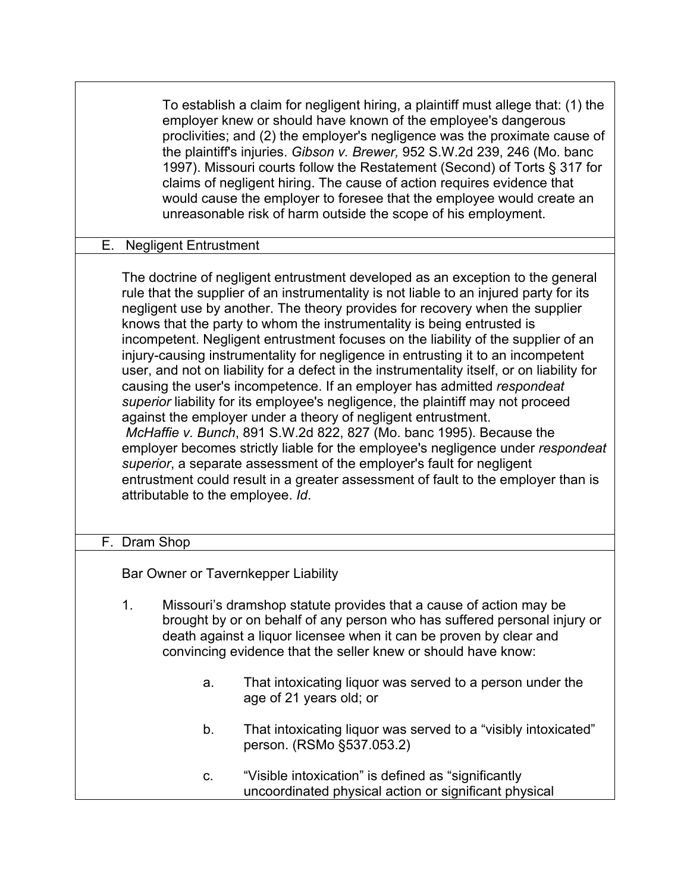To establish a claim for negligent hiring, a plaintiff must allege that: (1) the employer knew or should have known of the employee's dangerous proclivities; and (2) the employer's negligence was the proximate cause of the plaintiff's injuries. *Gibson v. Brewer,* 952 S.W.2d 239, 246 (Mo. banc 1997). Missouri courts follow the Restatement (Second) of Torts § 317 for claims of negligent hiring. The cause of action requires evidence that would cause the employer to foresee that the employee would create an unreasonable risk of harm outside the scope of his employment.

#### E. Negligent Entrustment

The doctrine of negligent entrustment developed as an exception to the general rule that the supplier of an instrumentality is not liable to an injured party for its negligent use by another. The theory provides for recovery when the supplier knows that the party to whom the instrumentality is being entrusted is incompetent. Negligent entrustment focuses on the liability of the supplier of an injury-causing instrumentality for negligence in entrusting it to an incompetent user, and not on liability for a defect in the instrumentality itself, or on liability for causing the user's incompetence. If an employer has admitted *respondeat superior* liability for its employee's negligence, the plaintiff may not proceed against the employer under a theory of negligent entrustment. *McHaffie v. Bunch*, 891 S.W.2d 822, 827 (Mo. banc 1995). Because the employer becomes strictly liable for the employee's negligence under *respondeat superior*, a separate assessment of the employer's fault for negligent entrustment could result in a greater assessment of fault to the employer than is attributable to the employee. *Id*.

#### F. Dram Shop

Bar Owner or Tavernkepper Liability

- 1. Missouri's dramshop statute provides that a cause of action may be brought by or on behalf of any person who has suffered personal injury or death against a liquor licensee when it can be proven by clear and convincing evidence that the seller knew or should have know:
	- a. That intoxicating liquor was served to a person under the age of 21 years old; or
	- b. That intoxicating liquor was served to a "visibly intoxicated" person. (RSMo §537.053.2)
	- c. "Visible intoxication" is defined as "significantly uncoordinated physical action or significant physical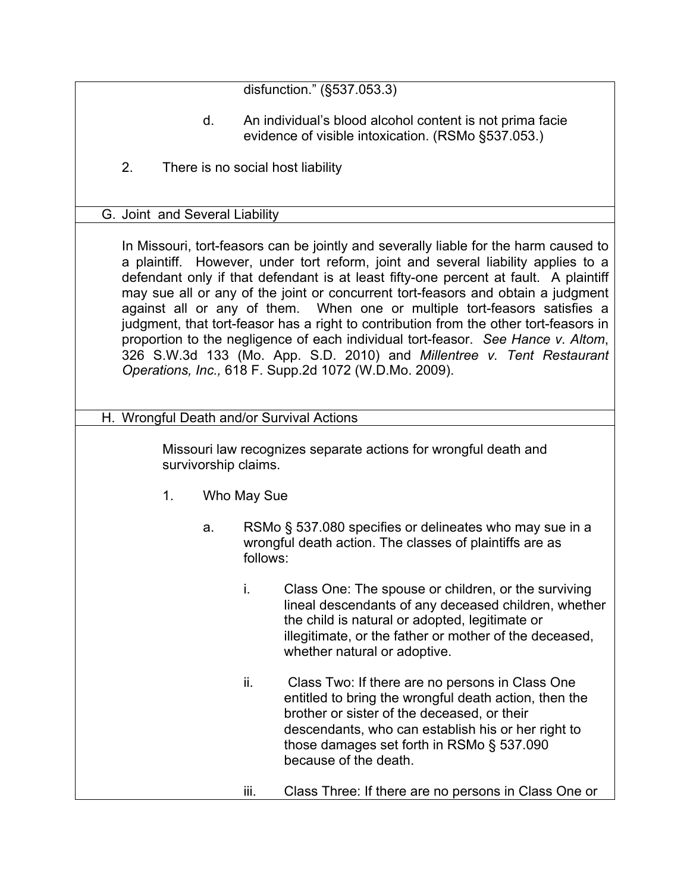disfunction." (§537.053.3)

- d. An individual's blood alcohol content is not prima facie evidence of visible intoxication. (RSMo §537.053.)
- 2. There is no social host liability

#### G. Joint and Several Liability

In Missouri, tort-feasors can be jointly and severally liable for the harm caused to a plaintiff. However, under tort reform, joint and several liability applies to a defendant only if that defendant is at least fifty-one percent at fault. A plaintiff may sue all or any of the joint or concurrent tort-feasors and obtain a judgment against all or any of them. When one or multiple tort-feasors satisfies a judgment, that tort-feasor has a right to contribution from the other tort-feasors in proportion to the negligence of each individual tort-feasor. *See Hance v. Altom*, 326 S.W.3d 133 (Mo. App. S.D. 2010) and *Millentree v. Tent Restaurant Operations, Inc.,* 618 F. Supp.2d 1072 (W.D.Mo. 2009).

H. Wrongful Death and/or Survival Actions

Missouri law recognizes separate actions for wrongful death and survivorship claims.

- 1. Who May Sue
	- a. RSMo § 537.080 specifies or delineates who may sue in a wrongful death action. The classes of plaintiffs are as follows:
		- i. Class One: The spouse or children, or the surviving lineal descendants of any deceased children, whether the child is natural or adopted, legitimate or illegitimate, or the father or mother of the deceased, whether natural or adoptive.
		- ii. Class Two: If there are no persons in Class One entitled to bring the wrongful death action, then the brother or sister of the deceased, or their descendants, who can establish his or her right to those damages set forth in RSMo § 537.090 because of the death.
		- iii. Class Three: If there are no persons in Class One or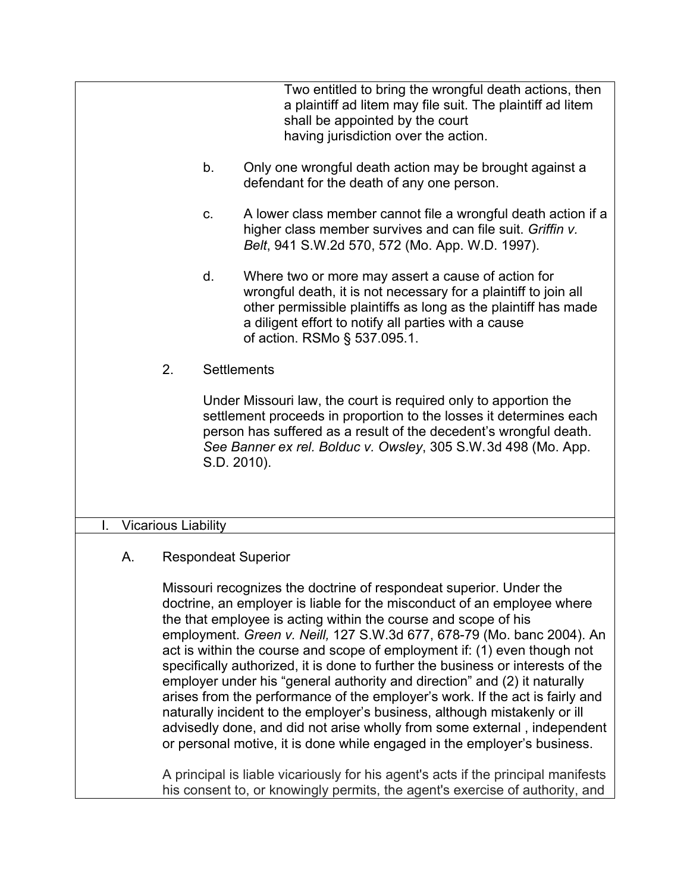Two entitled to bring the wrongful death actions, then a plaintiff ad litem may file suit. The plaintiff ad litem shall be appointed by the court having jurisdiction over the action.

- b. Only one wrongful death action may be brought against a defendant for the death of any one person.
- c. A lower class member cannot file a wrongful death action if a higher class member survives and can file suit. *Griffin v. Belt*, 941 S.W.2d 570, 572 (Mo. App. W.D. 1997).
- d. Where two or more may assert a cause of action for wrongful death, it is not necessary for a plaintiff to join all other permissible plaintiffs as long as the plaintiff has made a diligent effort to notify all parties with a cause of action. RSMo § 537.095.1.
- 2. Settlements

Under Missouri law, the court is required only to apportion the settlement proceeds in proportion to the losses it determines each person has suffered as a result of the decedent's wrongful death. *See Banner ex rel. Bolduc v. Owsley*, 305 S.W.3d 498 (Mo. App. S.D. 2010).

## I. Vicarious Liability

# A. Respondeat Superior

Missouri recognizes the doctrine of respondeat superior. Under the doctrine, an employer is liable for the misconduct of an employee where the that employee is acting within the course and scope of his employment. *Green v. Neill,* 127 S.W.3d 677, 678-79 (Mo. banc 2004). An act is within the course and scope of employment if: (1) even though not specifically authorized, it is done to further the business or interests of the employer under his "general authority and direction" and (2) it naturally arises from the performance of the employer's work. If the act is fairly and naturally incident to the employer's business, although mistakenly or ill advisedly done, and did not arise wholly from some external , independent or personal motive, it is done while engaged in the employer's business.

A principal is liable vicariously for his agent's acts if the principal manifests his consent to, or knowingly permits, the agent's exercise of authority, and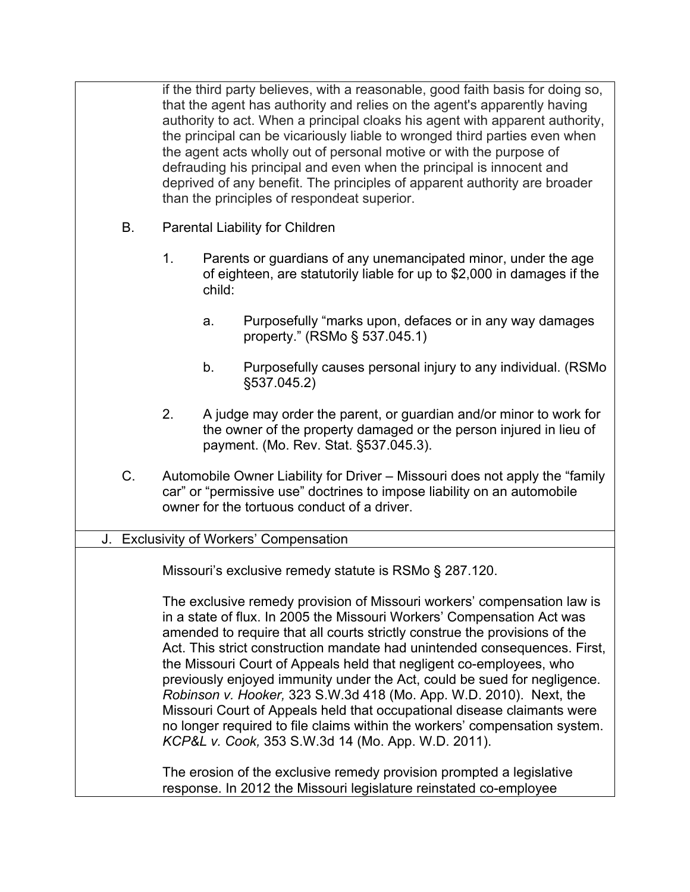if the third party believes, with a reasonable, good faith basis for doing so, that the agent has authority and relies on the agent's apparently having authority to act. When a principal cloaks his agent with apparent authority, the principal can be vicariously liable to wronged third parties even when the agent acts wholly out of personal motive or with the purpose of defrauding his principal and even when the principal is innocent and deprived of any benefit. The principles of apparent authority are broader than the principles of respondeat superior.

- B. Parental Liability for Children
	- 1. Parents or guardians of any unemancipated minor, under the age of eighteen, are statutorily liable for up to \$2,000 in damages if the child:
		- a. Purposefully "marks upon, defaces or in any way damages property." (RSMo § 537.045.1)
		- b. Purposefully causes personal injury to any individual. (RSMo §537.045.2)
	- 2. A judge may order the parent, or guardian and/or minor to work for the owner of the property damaged or the person injured in lieu of payment. (Mo. Rev. Stat. §537.045.3).
- C. Automobile Owner Liability for Driver Missouri does not apply the "family car" or "permissive use" doctrines to impose liability on an automobile owner for the tortuous conduct of a driver.

#### J. Exclusivity of Workers' Compensation

Missouri's exclusive remedy statute is RSMo § 287.120.

The exclusive remedy provision of Missouri workers' compensation law is in a state of flux. In 2005 the Missouri Workers' Compensation Act was amended to require that all courts strictly construe the provisions of the Act. This strict construction mandate had unintended consequences. First, the Missouri Court of Appeals held that negligent co-employees, who previously enjoyed immunity under the Act, could be sued for negligence. *Robinson v. Hooker,* 323 S.W.3d 418 (Mo. App. W.D. 2010). Next, the Missouri Court of Appeals held that occupational disease claimants were no longer required to file claims within the workers' compensation system. *KCP&L v. Cook,* 353 S.W.3d 14 (Mo. App. W.D. 2011).

The erosion of the exclusive remedy provision prompted a legislative response. In 2012 the Missouri legislature reinstated co-employee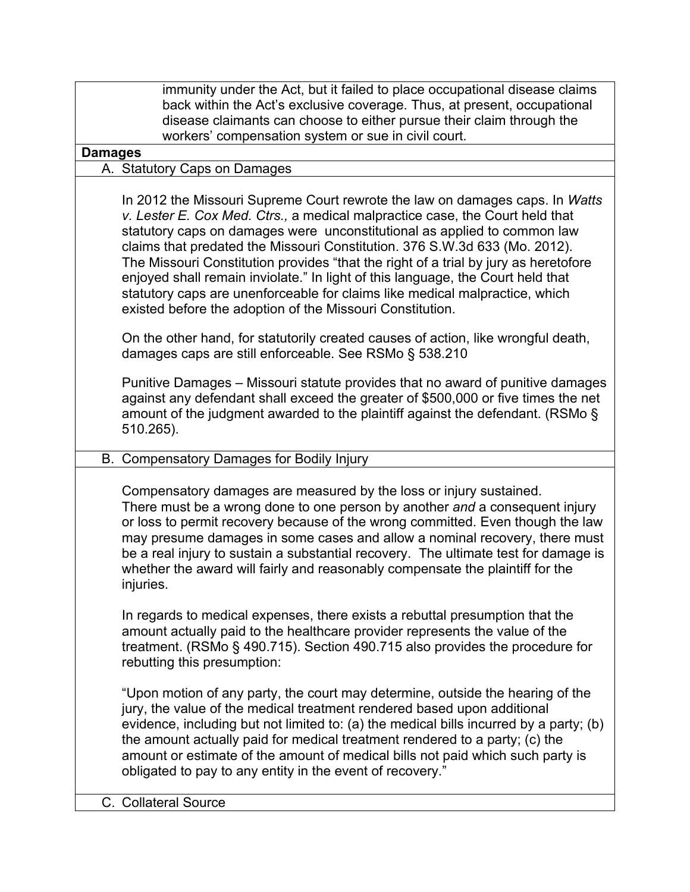immunity under the Act, but it failed to place occupational disease claims back within the Act's exclusive coverage. Thus, at present, occupational disease claimants can choose to either pursue their claim through the workers' compensation system or sue in civil court. **Damages** A. Statutory Caps on Damages In 2012 the Missouri Supreme Court rewrote the law on damages caps. In *Watts v. Lester E. Cox Med. Ctrs.,* a medical malpractice case, the Court held that statutory caps on damages were unconstitutional as applied to common law claims that predated the Missouri Constitution. 376 S.W.3d 633 (Mo. 2012). The Missouri Constitution provides "that the right of a trial by jury as heretofore enjoyed shall remain inviolate." In light of this language, the Court held that statutory caps are unenforceable for claims like medical malpractice, which existed before the adoption of the Missouri Constitution. On the other hand, for statutorily created causes of action, like wrongful death, damages caps are still enforceable. See RSMo § 538.210 Punitive Damages – Missouri statute provides that no award of punitive damages against any defendant shall exceed the greater of \$500,000 or five times the net amount of the judgment awarded to the plaintiff against the defendant. (RSMo § 510.265). B. Compensatory Damages for Bodily Injury Compensatory damages are measured by the loss or injury sustained. There must be a wrong done to one person by another *and* a consequent injury or loss to permit recovery because of the wrong committed. Even though the law may presume damages in some cases and allow a nominal recovery, there must be a real injury to sustain a substantial recovery. The ultimate test for damage is whether the award will fairly and reasonably compensate the plaintiff for the injuries. In regards to medical expenses, there exists a rebuttal presumption that the amount actually paid to the healthcare provider represents the value of the treatment. (RSMo § 490.715). Section 490.715 also provides the procedure for rebutting this presumption: "Upon motion of any party, the court may determine, outside the hearing of the jury, the value of the medical treatment rendered based upon additional evidence, including but not limited to: (a) the medical bills incurred by a party; (b) the amount actually paid for medical treatment rendered to a party; (c) the amount or estimate of the amount of medical bills not paid which such party is obligated to pay to any entity in the event of recovery." C. Collateral Source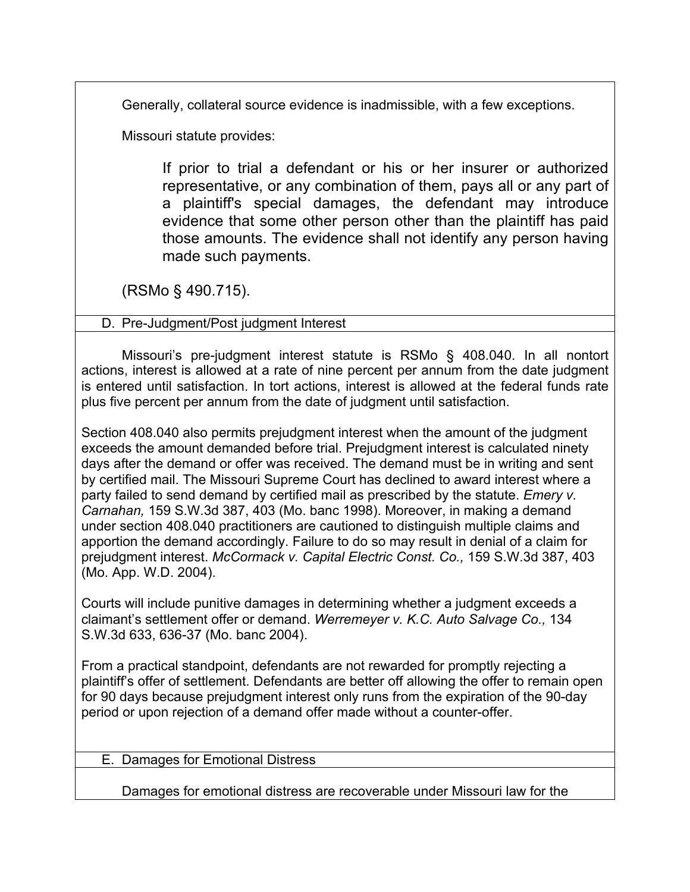Generally, collateral source evidence is inadmissible, with a few exceptions.

Missouri statute provides:

If prior to trial a defendant or his or her insurer or authorized representative, or any combination of them, pays all or any part of a plaintiff's special damages, the defendant may introduce evidence that some other person other than the plaintiff has paid those amounts. The evidence shall not identify any person having made such payments.

(RSMo § 490.715).

D. Pre-Judgment/Post judgment Interest

Missouri's pre-judgment interest statute is RSMo § 408.040. In all nontort actions, interest is allowed at a rate of nine percent per annum from the date judgment is entered until satisfaction. In tort actions, interest is allowed at the federal funds rate plus five percent per annum from the date of judgment until satisfaction.

Section 408.040 also permits prejudgment interest when the amount of the judgment exceeds the amount demanded before trial. Prejudgment interest is calculated ninety days after the demand or offer was received. The demand must be in writing and sent by certified mail. The Missouri Supreme Court has declined to award interest where a party failed to send demand by certified mail as prescribed by the statute. *Emery v. Carnahan,* 159 S.W.3d 387, 403 (Mo. banc 1998). Moreover, in making a demand under section 408.040 practitioners are cautioned to distinguish multiple claims and apportion the demand accordingly. Failure to do so may result in denial of a claim for prejudgment interest. *McCormack v. Capital Electric Const. Co.,* 159 S.W.3d 387, 403 (Mo. App. W.D. 2004).

Courts will include punitive damages in determining whether a judgment exceeds a claimant's settlement offer or demand. *Werremeyer v. K.C. Auto Salvage Co.,* 134 S.W.3d 633, 636-37 (Mo. banc 2004).

From a practical standpoint, defendants are not rewarded for promptly rejecting a plaintiff's offer of settlement. Defendants are better off allowing the offer to remain open for 90 days because prejudgment interest only runs from the expiration of the 90-day period or upon rejection of a demand offer made without a counter-offer.

E. Damages for Emotional Distress

Damages for emotional distress are recoverable under Missouri law for the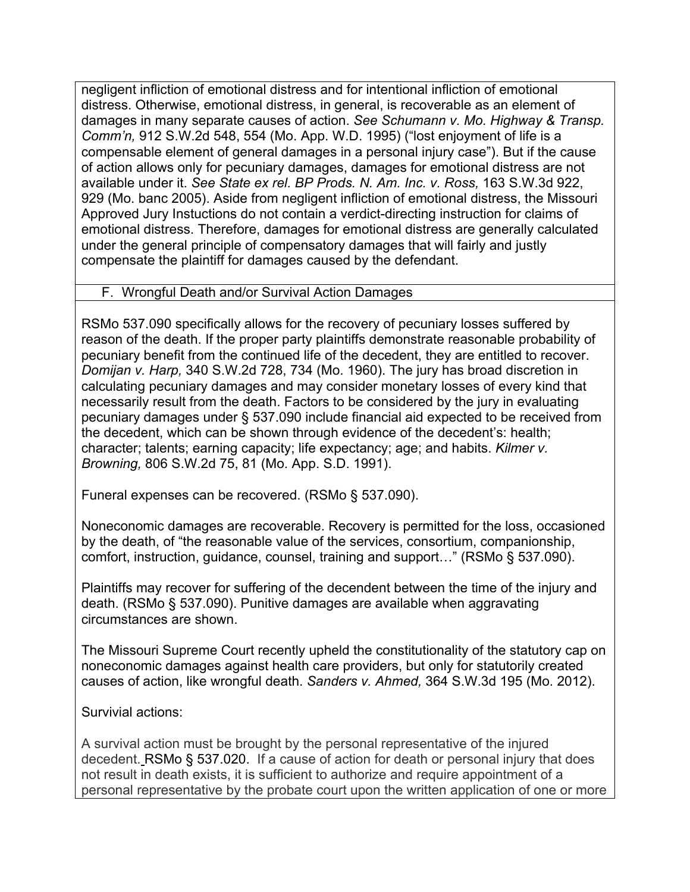negligent infliction of emotional distress and for intentional infliction of emotional distress. Otherwise, emotional distress, in general, is recoverable as an element of damages in many separate causes of action. *See Schumann v. Mo. Highway & Transp. Comm'n,* 912 S.W.2d 548, 554 (Mo. App. W.D. 1995) ("lost enjoyment of life is a compensable element of general damages in a personal injury case"). But if the cause of action allows only for pecuniary damages, damages for emotional distress are not available under it. *See State ex rel. BP Prods. N. Am. Inc. v. Ross,* 163 S.W.3d 922, 929 (Mo. banc 2005). Aside from negligent infliction of emotional distress, the Missouri Approved Jury Instuctions do not contain a verdict-directing instruction for claims of emotional distress. Therefore, damages for emotional distress are generally calculated under the general principle of compensatory damages that will fairly and justly compensate the plaintiff for damages caused by the defendant.

## F. Wrongful Death and/or Survival Action Damages

RSMo 537.090 specifically allows for the recovery of pecuniary losses suffered by reason of the death. If the proper party plaintiffs demonstrate reasonable probability of pecuniary benefit from the continued life of the decedent, they are entitled to recover. *Domijan v. Harp,* 340 S.W.2d 728, 734 (Mo. 1960). The jury has broad discretion in calculating pecuniary damages and may consider monetary losses of every kind that necessarily result from the death. Factors to be considered by the jury in evaluating pecuniary damages under § 537.090 include financial aid expected to be received from the decedent, which can be shown through evidence of the decedent's: health; character; talents; earning capacity; life expectancy; age; and habits. *Kilmer v. Browning,* 806 S.W.2d 75, 81 (Mo. App. S.D. 1991).

Funeral expenses can be recovered. (RSMo § 537.090).

Noneconomic damages are recoverable. Recovery is permitted for the loss, occasioned by the death, of "the reasonable value of the services, consortium, companionship, comfort, instruction, guidance, counsel, training and support…" (RSMo § 537.090).

Plaintiffs may recover for suffering of the decendent between the time of the injury and death. (RSMo § 537.090). Punitive damages are available when aggravating circumstances are shown.

The Missouri Supreme Court recently upheld the constitutionality of the statutory cap on noneconomic damages against health care providers, but only for statutorily created causes of action, like wrongful death. *Sanders v. Ahmed,* 364 S.W.3d 195 (Mo. 2012).

Survivial actions:

A survival action must be brought by the personal representative of the injured decedent. RSMo § 537.020. If a cause of action for death or personal injury that does not result in death exists, it is sufficient to authorize and require appointment of a personal representative by the probate court upon the written application of one or more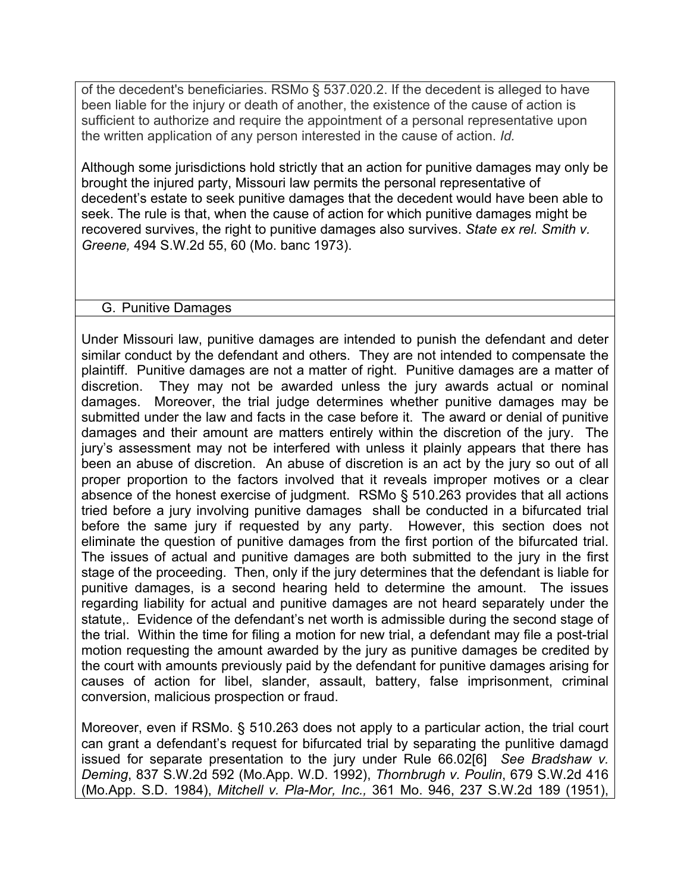of the decedent's beneficiaries. RSMo § 537.020.2. If the decedent is alleged to have been liable for the injury or death of another, the existence of the cause of action is sufficient to authorize and require the appointment of a personal representative upon the written application of any person interested in the cause of action. *Id.*

Although some jurisdictions hold strictly that an action for punitive damages may only be brought the injured party, Missouri law permits the personal representative of decedent's estate to seek punitive damages that the decedent would have been able to seek. The rule is that, when the cause of action for which punitive damages might be recovered survives, the right to punitive damages also survives. *State ex rel. Smith v. Greene,* 494 S.W.2d 55, 60 (Mo. banc 1973).

### G. Punitive Damages

Under Missouri law, punitive damages are intended to punish the defendant and deter similar conduct by the defendant and others. They are not intended to compensate the plaintiff. Punitive damages are not a matter of right. Punitive damages are a matter of discretion. They may not be awarded unless the jury awards actual or nominal damages. Moreover, the trial judge determines whether punitive damages may be submitted under the law and facts in the case before it. The award or denial of punitive damages and their amount are matters entirely within the discretion of the jury. The jury's assessment may not be interfered with unless it plainly appears that there has been an abuse of discretion. An abuse of discretion is an act by the jury so out of all proper proportion to the factors involved that it reveals improper motives or a clear absence of the honest exercise of judgment. RSMo § 510.263 provides that all actions tried before a jury involving punitive damages shall be conducted in a bifurcated trial before the same jury if requested by any party. However, this section does not eliminate the question of punitive damages from the first portion of the bifurcated trial. The issues of actual and punitive damages are both submitted to the jury in the first stage of the proceeding. Then, only if the jury determines that the defendant is liable for punitive damages, is a second hearing held to determine the amount. The issues regarding liability for actual and punitive damages are not heard separately under the statute,. Evidence of the defendant's net worth is admissible during the second stage of the trial. Within the time for filing a motion for new trial, a defendant may file a post-trial motion requesting the amount awarded by the jury as punitive damages be credited by the court with amounts previously paid by the defendant for punitive damages arising for causes of action for libel, slander, assault, battery, false imprisonment, criminal conversion, malicious prospection or fraud.

Moreover, even if RSMo. § 510.263 does not apply to a particular action, the trial court can grant a defendant's request for bifurcated trial by separating the punlitive damagd issued for separate presentation to the jury under Rule 66.02[6] *See Bradshaw v. Deming*, 837 S.W.2d 592 (Mo.App. W.D. 1992), *Thornbrugh v. Poulin*, 679 S.W.2d 416 (Mo.App. S.D. 1984), *Mitchell v. Pla-Mor, Inc.,* 361 Mo. 946, 237 S.W.2d 189 (1951),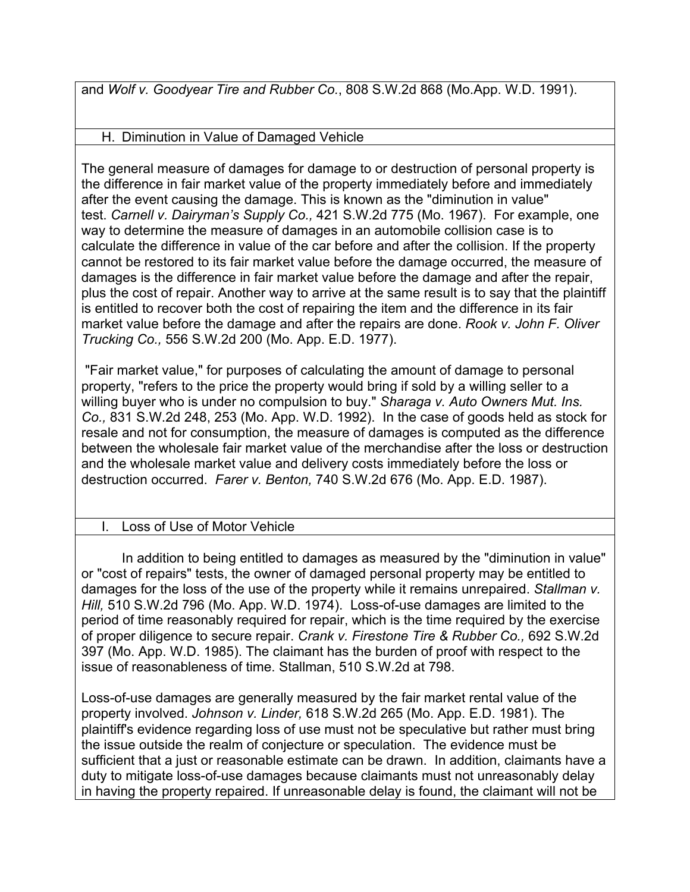and *Wolf v. Goodyear Tire and Rubber Co.*, 808 S.W.2d 868 (Mo.App. W.D. 1991).

H. Diminution in Value of Damaged Vehicle

The general measure of damages for damage to or destruction of personal property is the difference in fair market value of the property immediately before and immediately after the event causing the damage. This is known as the "diminution in value" test. *Carnell v. Dairyman's Supply Co.,* 421 S.W.2d 775 (Mo. 1967). For example, one way to determine the measure of damages in an automobile collision case is to calculate the difference in value of the car before and after the collision. If the property cannot be restored to its fair market value before the damage occurred, the measure of damages is the difference in fair market value before the damage and after the repair, plus the cost of repair. Another way to arrive at the same result is to say that the plaintiff is entitled to recover both the cost of repairing the item and the difference in its fair market value before the damage and after the repairs are done. *Rook v. John F. Oliver Trucking Co.,* 556 S.W.2d 200 (Mo. App. E.D. 1977).

 "Fair market value," for purposes of calculating the amount of damage to personal property, "refers to the price the property would bring if sold by a willing seller to a willing buyer who is under no compulsion to buy." *Sharaga v. Auto Owners Mut. Ins. Co.,* 831 S.W.2d 248, 253 (Mo. App. W.D. 1992). In the case of goods held as stock for resale and not for consumption, the measure of damages is computed as the difference between the wholesale fair market value of the merchandise after the loss or destruction and the wholesale market value and delivery costs immediately before the loss or destruction occurred. *Farer v. Benton,* 740 S.W.2d 676 (Mo. App. E.D. 1987).

# Loss of Use of Motor Vehicle

In addition to being entitled to damages as measured by the "diminution in value" or "cost of repairs" tests, the owner of damaged personal property may be entitled to damages for the loss of the use of the property while it remains unrepaired. *Stallman v. Hill,* 510 S.W.2d 796 (Mo. App. W.D. 1974). Loss-of-use damages are limited to the period of time reasonably required for repair, which is the time required by the exercise of proper diligence to secure repair. *Crank v. Firestone Tire & Rubber Co.,* 692 S.W.2d 397 (Mo. App. W.D. 1985). The claimant has the burden of proof with respect to the issue of reasonableness of time. Stallman, 510 S.W.2d at 798.

Loss-of-use damages are generally measured by the fair market rental value of the property involved. *Johnson v. Linder,* 618 S.W.2d 265 (Mo. App. E.D. 1981). The plaintiff's evidence regarding loss of use must not be speculative but rather must bring the issue outside the realm of conjecture or speculation. The evidence must be sufficient that a just or reasonable estimate can be drawn. In addition, claimants have a duty to mitigate loss-of-use damages because claimants must not unreasonably delay in having the property repaired. If unreasonable delay is found, the claimant will not be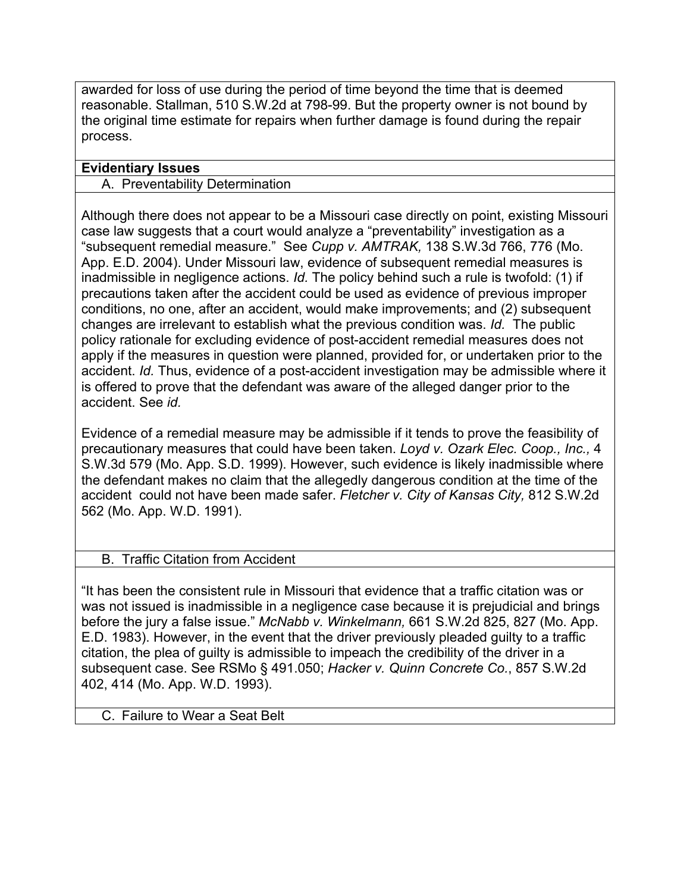awarded for loss of use during the period of time beyond the time that is deemed reasonable. Stallman, 510 S.W.2d at 798-99. But the property owner is not bound by the original time estimate for repairs when further damage is found during the repair process.

## **Evidentiary Issues**

### A. Preventability Determination

Although there does not appear to be a Missouri case directly on point, existing Missouri case law suggests that a court would analyze a "preventability" investigation as a "subsequent remedial measure." See *Cupp v. AMTRAK,* 138 S.W.3d 766, 776 (Mo. App. E.D. 2004). Under Missouri law, evidence of subsequent remedial measures is inadmissible in negligence actions. *Id.* The policy behind such a rule is twofold: (1) if precautions taken after the accident could be used as evidence of previous improper conditions, no one, after an accident, would make improvements; and (2) subsequent changes are irrelevant to establish what the previous condition was. *Id.* The public policy rationale for excluding evidence of post-accident remedial measures does not apply if the measures in question were planned, provided for, or undertaken prior to the accident. *Id.* Thus, evidence of a post-accident investigation may be admissible where it is offered to prove that the defendant was aware of the alleged danger prior to the accident. See *id.* 

Evidence of a remedial measure may be admissible if it tends to prove the feasibility of precautionary measures that could have been taken. *Loyd v. Ozark Elec. Coop., Inc.,* 4 S.W.3d 579 (Mo. App. S.D. 1999). However, such evidence is likely inadmissible where the defendant makes no claim that the allegedly dangerous condition at the time of the accident could not have been made safer. *Fletcher v. City of Kansas City,* 812 S.W.2d 562 (Mo. App. W.D. 1991).

## B. Traffic Citation from Accident

"It has been the consistent rule in Missouri that evidence that a traffic citation was or was not issued is inadmissible in a negligence case because it is prejudicial and brings before the jury a false issue." *McNabb v. Winkelmann,* 661 S.W.2d 825, 827 (Mo. App. E.D. 1983). However, in the event that the driver previously pleaded guilty to a traffic citation, the plea of guilty is admissible to impeach the credibility of the driver in a subsequent case. See RSMo § 491.050; *Hacker v. Quinn Concrete Co.*, 857 S.W.2d 402, 414 (Mo. App. W.D. 1993).

C. Failure to Wear a Seat Belt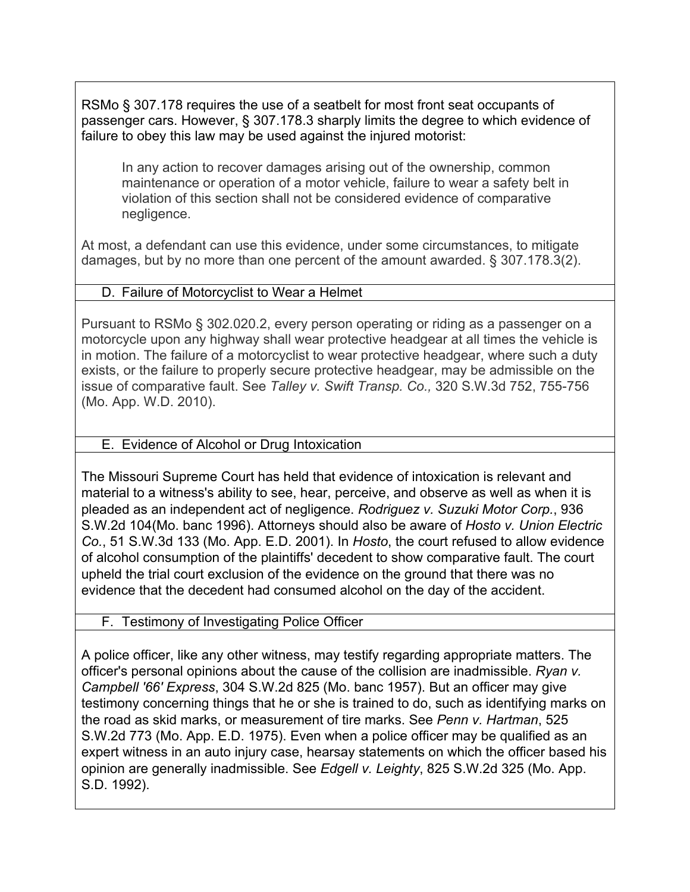RSMo § 307.178 requires the use of a seatbelt for most front seat occupants of passenger cars. However, § 307.178.3 sharply limits the degree to which evidence of failure to obey this law may be used against the injured motorist:

In any action to recover damages arising out of the ownership, common maintenance or operation of a motor vehicle, failure to wear a safety belt in violation of this section shall not be considered evidence of comparative negligence.

At most, a defendant can use this evidence, under some circumstances, to mitigate damages, but by no more than one percent of the amount awarded. § 307.178.3(2).

## D. Failure of Motorcyclist to Wear a Helmet

Pursuant to RSMo § 302.020.2, every person operating or riding as a passenger on a motorcycle upon any highway shall wear protective headgear at all times the vehicle is in motion. The failure of a motorcyclist to wear protective headgear, where such a duty exists, or the failure to properly secure protective headgear, may be admissible on the issue of comparative fault. See *Talley v. Swift Transp. Co.,* 320 S.W.3d 752, 755-756 (Mo. App. W.D. 2010).

## E. Evidence of Alcohol or Drug Intoxication

The Missouri Supreme Court has held that evidence of intoxication is relevant and material to a witness's ability to see, hear, perceive, and observe as well as when it is pleaded as an independent act of negligence. *Rodriguez v. Suzuki Motor Corp.*, 936 S.W.2d 104(Mo. banc 1996). Attorneys should also be aware of *Hosto v. Union Electric Co.*, 51 S.W.3d 133 (Mo. App. E.D. 2001). In *Hosto*, the court refused to allow evidence of alcohol consumption of the plaintiffs' decedent to show comparative fault. The court upheld the trial court exclusion of the evidence on the ground that there was no evidence that the decedent had consumed alcohol on the day of the accident.

## F. Testimony of Investigating Police Officer

A police officer, like any other witness, may testify regarding appropriate matters. The officer's personal opinions about the cause of the collision are inadmissible. *Ryan v. Campbell '66' Express*, 304 S.W.2d 825 (Mo. banc 1957). But an officer may give testimony concerning things that he or she is trained to do, such as identifying marks on the road as skid marks, or measurement of tire marks. See *Penn v. Hartman*, 525 S.W.2d 773 (Mo. App. E.D. 1975). Even when a police officer may be qualified as an expert witness in an auto injury case, hearsay statements on which the officer based his opinion are generally inadmissible. See *Edgell v. Leighty*, 825 S.W.2d 325 (Mo. App. S.D. 1992).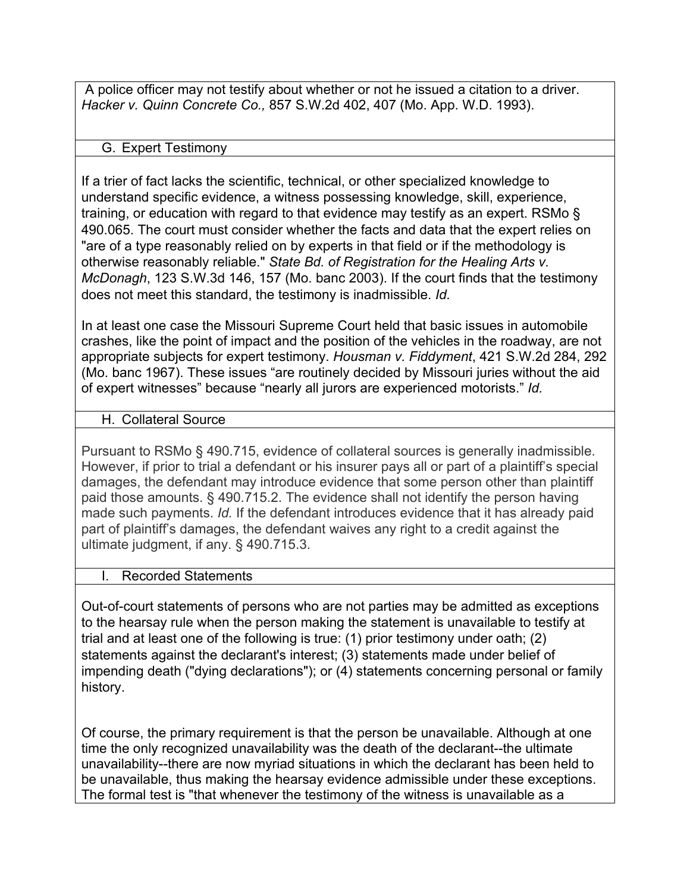A police officer may not testify about whether or not he issued a citation to a driver. *Hacker v. Quinn Concrete Co.,* 857 S.W.2d 402, 407 (Mo. App. W.D. 1993).

### G. Expert Testimony

If a trier of fact lacks the scientific, technical, or other specialized knowledge to understand specific evidence, a witness possessing knowledge, skill, experience, training, or education with regard to that evidence may testify as an expert. RSMo § 490.065. The court must consider whether the facts and data that the expert relies on "are of a type reasonably relied on by experts in that field or if the methodology is otherwise reasonably reliable." *State Bd. of Registration for the Healing Arts v. McDonagh*, 123 S.W.3d 146, 157 (Mo. banc 2003). If the court finds that the testimony does not meet this standard, the testimony is inadmissible. *Id.*

In at least one case the Missouri Supreme Court held that basic issues in automobile crashes, like the point of impact and the position of the vehicles in the roadway, are not appropriate subjects for expert testimony. *Housman v. Fiddyment*, 421 S.W.2d 284, 292 (Mo. banc 1967). These issues "are routinely decided by Missouri juries without the aid of expert witnesses" because "nearly all jurors are experienced motorists." *Id.*

## H. Collateral Source

Pursuant to RSMo § 490.715, evidence of collateral sources is generally inadmissible. However, if prior to trial a defendant or his insurer pays all or part of a plaintiff's special damages, the defendant may introduce evidence that some person other than plaintiff paid those amounts. § 490.715.2. The evidence shall not identify the person having made such payments. *Id.* If the defendant introduces evidence that it has already paid part of plaintiff's damages, the defendant waives any right to a credit against the ultimate judgment, if any. § 490.715.3.

#### I. Recorded Statements

Out-of-court statements of persons who are not parties may be admitted as exceptions to the hearsay rule when the person making the statement is unavailable to testify at trial and at least one of the following is true: (1) prior testimony under oath; (2) statements against the declarant's interest; (3) statements made under belief of impending death ("dying declarations"); or (4) statements concerning personal or family history.

Of course, the primary requirement is that the person be unavailable. Although at one time the only recognized unavailability was the death of the declarant--the ultimate unavailability--there are now myriad situations in which the declarant has been held to be unavailable, thus making the hearsay evidence admissible under these exceptions. The formal test is "that whenever the testimony of the witness is unavailable as a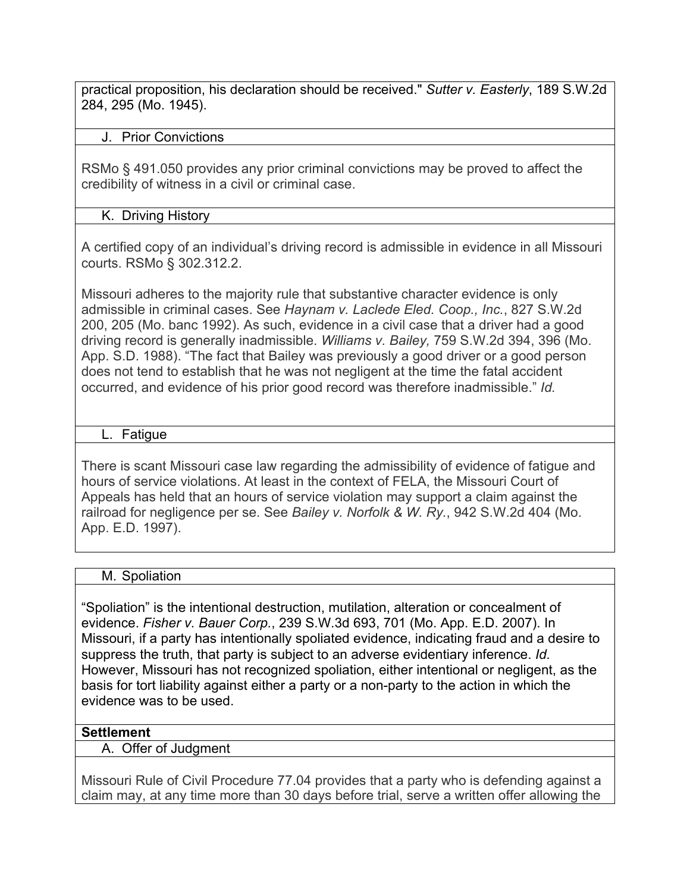practical proposition, his declaration should be received." *Sutter v. Easterly*, 189 S.W.2d 284, 295 (Mo. 1945).

### J. Prior Convictions

RSMo § 491.050 provides any prior criminal convictions may be proved to affect the credibility of witness in a civil or criminal case.

### K. Driving History

A certified copy of an individual's driving record is admissible in evidence in all Missouri courts. RSMo § 302.312.2.

Missouri adheres to the majority rule that substantive character evidence is only admissible in criminal cases. See *Haynam v. Laclede Eled. Coop., Inc.*, 827 S.W.2d 200, 205 (Mo. banc 1992). As such, evidence in a civil case that a driver had a good driving record is generally inadmissible. *Williams v. Bailey,* 759 S.W.2d 394, 396 (Mo. App. S.D. 1988). "The fact that Bailey was previously a good driver or a good person does not tend to establish that he was not negligent at the time the fatal accident occurred, and evidence of his prior good record was therefore inadmissible." *Id.* 

### L. Fatigue

There is scant Missouri case law regarding the admissibility of evidence of fatigue and hours of service violations. At least in the context of FELA, the Missouri Court of Appeals has held that an hours of service violation may support a claim against the railroad for negligence per se. See *Bailey v. Norfolk & W. Ry.*, 942 S.W.2d 404 (Mo. App. E.D. 1997).

#### M. Spoliation

"Spoliation" is the intentional destruction, mutilation, alteration or concealment of evidence. *Fisher v. Bauer Corp.*, 239 S.W.3d 693, 701 (Mo. App. E.D. 2007). In Missouri, if a party has intentionally spoliated evidence, indicating fraud and a desire to suppress the truth, that party is subject to an adverse evidentiary inference. *Id.*  However, Missouri has not recognized spoliation, either intentional or negligent, as the basis for tort liability against either a party or a non-party to the action in which the evidence was to be used.

## **Settlement**

A. Offer of Judgment

Missouri Rule of Civil Procedure 77.04 provides that a party who is defending against a claim may, at any time more than 30 days before trial, serve a written offer allowing the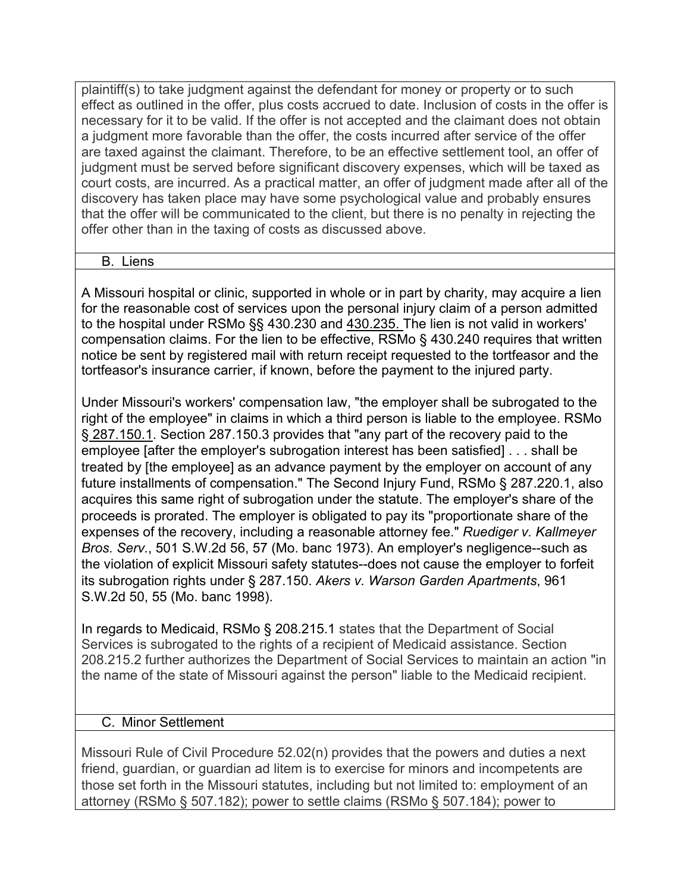plaintiff(s) to take judgment against the defendant for money or property or to such effect as outlined in the offer, plus costs accrued to date. Inclusion of costs in the offer is necessary for it to be valid. If the offer is not accepted and the claimant does not obtain a judgment more favorable than the offer, the costs incurred after service of the offer are taxed against the claimant. Therefore, to be an effective settlement tool, an offer of judgment must be served before significant discovery expenses, which will be taxed as court costs, are incurred. As a practical matter, an offer of judgment made after all of the discovery has taken place may have some psychological value and probably ensures that the offer will be communicated to the client, but there is no penalty in rejecting the offer other than in the taxing of costs as discussed above.

#### B. Liens

A Missouri hospital or clinic, supported in whole or in part by charity, may acquire a lien for the reasonable cost of services upon the personal injury claim of a person admitted to the hospital under RSMo §§ 430.230 and 430.235. The lien is not valid in workers' compensation claims. For the lien to be effective, RSMo § 430.240 requires that written notice be sent by registered mail with return receipt requested to the tortfeasor and the tortfeasor's insurance carrier, if known, before the payment to the injured party.

Under Missouri's workers' compensation law, "the employer shall be subrogated to the right of the employee" in claims in which a third person is liable to the employee. RSMo § 287.150.1. Section 287.150.3 provides that "any part of the recovery paid to the employee [after the employer's subrogation interest has been satisfied] . . . shall be treated by [the employee] as an advance payment by the employer on account of any future installments of compensation." The Second Injury Fund, RSMo § 287.220.1, also acquires this same right of subrogation under the statute. The employer's share of the proceeds is prorated. The employer is obligated to pay its "proportionate share of the expenses of the recovery, including a reasonable attorney fee." *Ruediger v. Kallmeyer Bros. Serv.*, 501 S.W.2d 56, 57 (Mo. banc 1973). An employer's negligence--such as the violation of explicit Missouri safety statutes--does not cause the employer to forfeit its subrogation rights under § 287.150. *Akers v. Warson Garden Apartments*, 961 S.W.2d 50, 55 (Mo. banc 1998).

In regards to Medicaid, RSMo § 208.215.1 states that the Department of Social Services is subrogated to the rights of a recipient of Medicaid assistance. Section 208.215.2 further authorizes the Department of Social Services to maintain an action "in the name of the state of Missouri against the person" liable to the Medicaid recipient.

## C. Minor Settlement

Missouri Rule of Civil Procedure 52.02(n) provides that the powers and duties a next friend, guardian, or guardian ad litem is to exercise for minors and incompetents are those set forth in the Missouri statutes, including but not limited to: employment of an attorney (RSMo § 507.182); power to settle claims (RSMo § 507.184); power to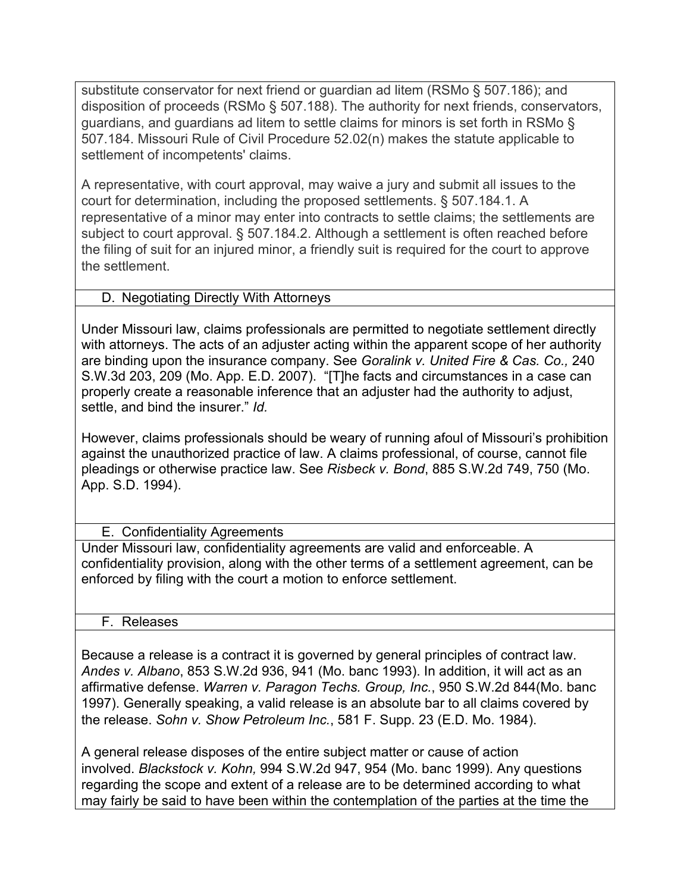substitute conservator for next friend or guardian ad litem (RSMo § 507.186); and disposition of proceeds (RSMo § 507.188). The authority for next friends, conservators, guardians, and guardians ad litem to settle claims for minors is set forth in RSMo § 507.184. Missouri Rule of Civil Procedure 52.02(n) makes the statute applicable to settlement of incompetents' claims.

A representative, with court approval, may waive a jury and submit all issues to the court for determination, including the proposed settlements. § 507.184.1. A representative of a minor may enter into contracts to settle claims; the settlements are subject to court approval. § 507.184.2. Although a settlement is often reached before the filing of suit for an injured minor, a friendly suit is required for the court to approve the settlement.

### D. Negotiating Directly With Attorneys

Under Missouri law, claims professionals are permitted to negotiate settlement directly with attorneys. The acts of an adjuster acting within the apparent scope of her authority are binding upon the insurance company. See *Goralink v. United Fire & Cas. Co.,* 240 S.W.3d 203, 209 (Mo. App. E.D. 2007). "[T]he facts and circumstances in a case can properly create a reasonable inference that an adjuster had the authority to adjust, settle, and bind the insurer." *Id.* 

However, claims professionals should be weary of running afoul of Missouri's prohibition against the unauthorized practice of law. A claims professional, of course, cannot file pleadings or otherwise practice law. See *Risbeck v. Bond*, 885 S.W.2d 749, 750 (Mo. App. S.D. 1994).

## E. Confidentiality Agreements

Under Missouri law, confidentiality agreements are valid and enforceable. A confidentiality provision, along with the other terms of a settlement agreement, can be enforced by filing with the court a motion to enforce settlement.

#### F. Releases

Because a release is a contract it is governed by general principles of contract law. *Andes v. Albano*, 853 S.W.2d 936, 941 (Mo. banc 1993). In addition, it will act as an affirmative defense. *Warren v. Paragon Techs. Group, Inc.*, 950 S.W.2d 844(Mo. banc 1997). Generally speaking, a valid release is an absolute bar to all claims covered by the release. *Sohn v. Show Petroleum Inc.*, 581 F. Supp. 23 (E.D. Mo. 1984).

A general release disposes of the entire subject matter or cause of action involved. *Blackstock v. Kohn,* 994 S.W.2d 947, 954 (Mo. banc 1999). Any questions regarding the scope and extent of a release are to be determined according to what may fairly be said to have been within the contemplation of the parties at the time the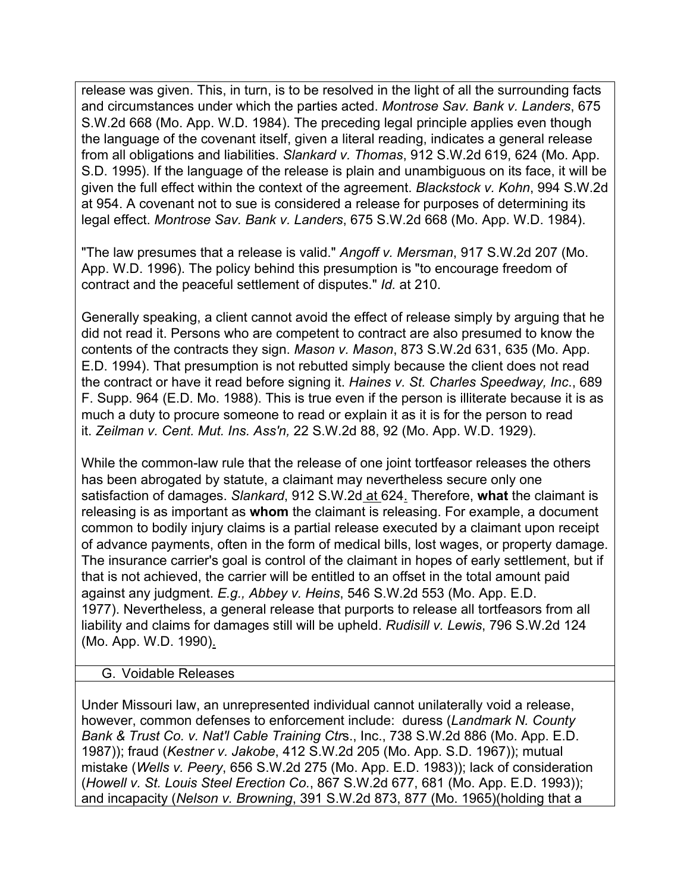release was given. This, in turn, is to be resolved in the light of all the surrounding facts and circumstances under which the parties acted. *Montrose Sav. Bank v. Landers*, 675 S.W.2d 668 (Mo. App. W.D. 1984). The preceding legal principle applies even though the language of the covenant itself, given a literal reading, indicates a general release from all obligations and liabilities. *Slankard v. Thomas*, 912 S.W.2d 619, 624 (Mo. App. S.D. 1995). If the language of the release is plain and unambiguous on its face, it will be given the full effect within the context of the agreement. *Blackstock v. Kohn*, 994 S.W.2d at 954. A covenant not to sue is considered a release for purposes of determining its legal effect. *Montrose Sav. Bank v. Landers*, 675 S.W.2d 668 (Mo. App. W.D. 1984).

"The law presumes that a release is valid." *Angoff v. Mersman*, 917 S.W.2d 207 (Mo. App. W.D. 1996). The policy behind this presumption is "to encourage freedom of contract and the peaceful settlement of disputes." *Id.* at 210.

Generally speaking, a client cannot avoid the effect of release simply by arguing that he did not read it. Persons who are competent to contract are also presumed to know the contents of the contracts they sign. *Mason v. Mason*, 873 S.W.2d 631, 635 (Mo. App. E.D. 1994). That presumption is not rebutted simply because the client does not read the contract or have it read before signing it. *Haines v. St. Charles Speedway, Inc*., 689 F. Supp. 964 (E.D. Mo. 1988). This is true even if the person is illiterate because it is as much a duty to procure someone to read or explain it as it is for the person to read it. *Zeilman v. Cent. Mut. Ins. Ass'n,* 22 S.W.2d 88, 92 (Mo. App. W.D. 1929).

While the common-law rule that the release of one joint tortfeasor releases the others has been abrogated by statute, a claimant may nevertheless secure only one satisfaction of damages. *Slankard*, 912 S.W.2d at 624. Therefore, **what** the claimant is releasing is as important as **whom** the claimant is releasing. For example, a document common to bodily injury claims is a partial release executed by a claimant upon receipt of advance payments, often in the form of medical bills, lost wages, or property damage. The insurance carrier's goal is control of the claimant in hopes of early settlement, but if that is not achieved, the carrier will be entitled to an offset in the total amount paid against any judgment. *E.g., Abbey v. Heins*, 546 S.W.2d 553 (Mo. App. E.D. 1977). Nevertheless, a general release that purports to release all tortfeasors from all liability and claims for damages still will be upheld. *Rudisill v. Lewis*, 796 S.W.2d 124 (Mo. App. W.D. 1990).

#### G. Voidable Releases

Under Missouri law, an unrepresented individual cannot unilaterally void a release, however, common defenses to enforcement include: duress (*Landmark N. County Bank & Trust Co. v. Nat'l Cable Training Ctr*s., Inc., 738 S.W.2d 886 (Mo. App. E.D. 1987)); fraud (*Kestner v. Jakobe*, 412 S.W.2d 205 (Mo. App. S.D. 1967)); mutual mistake (*Wells v. Peery*, 656 S.W.2d 275 (Mo. App. E.D. 1983)); lack of consideration (*Howell v. St. Louis Steel Erection Co.*, 867 S.W.2d 677, 681 (Mo. App. E.D. 1993)); and incapacity (*Nelson v. Browning*, 391 S.W.2d 873, 877 (Mo. 1965)(holding that a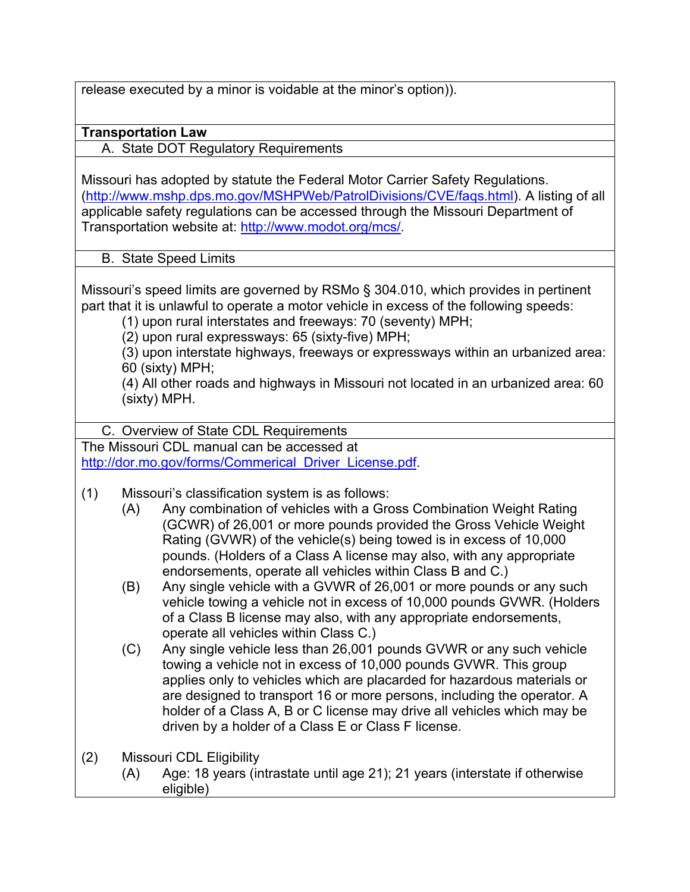release executed by a minor is voidable at the minor's option)).

## **Transportation Law**

A. State DOT Regulatory Requirements

Missouri has adopted by statute the Federal Motor Carrier Safety Regulations. (http://www.mshp.dps.mo.gov/MSHPWeb/PatrolDivisions/CVE/faqs.html). A listing of all applicable safety regulations can be accessed through the Missouri Department of Transportation website at: http://www.modot.org/mcs/.

B. State Speed Limits

Missouri's speed limits are governed by RSMo § 304.010, which provides in pertinent part that it is unlawful to operate a motor vehicle in excess of the following speeds:

(1) upon rural interstates and freeways: 70 (seventy) MPH;

(2) upon rural expressways: 65 (sixty-five) MPH;

(3) upon interstate highways, freeways or expressways within an urbanized area: 60 (sixty) MPH;

(4) All other roads and highways in Missouri not located in an urbanized area: 60 (sixty) MPH.

C. Overview of State CDL Requirements

The Missouri CDL manual can be accessed at http://dor.mo.gov/forms/Commerical\_Driver\_License.pdf

- (1) Missouri's classification system is as follows:
	- (A) Any combination of vehicles with a Gross Combination Weight Rating (GCWR) of 26,001 or more pounds provided the Gross Vehicle Weight Rating (GVWR) of the vehicle(s) being towed is in excess of 10,000 pounds. (Holders of a Class A license may also, with any appropriate endorsements, operate all vehicles within Class B and C.)
	- (B) Any single vehicle with a GVWR of 26,001 or more pounds or any such vehicle towing a vehicle not in excess of 10,000 pounds GVWR. (Holders of a Class B license may also, with any appropriate endorsements, operate all vehicles within Class C.)
	- (C) Any single vehicle less than 26,001 pounds GVWR or any such vehicle towing a vehicle not in excess of 10,000 pounds GVWR. This group applies only to vehicles which are placarded for hazardous materials or are designed to transport 16 or more persons, including the operator. A holder of a Class A, B or C license may drive all vehicles which may be driven by a holder of a Class E or Class F license.
- (2) Missouri CDL Eligibility (A) Age: 18 years (intrastate until age 21); 21 years (interstate if otherwise eligible)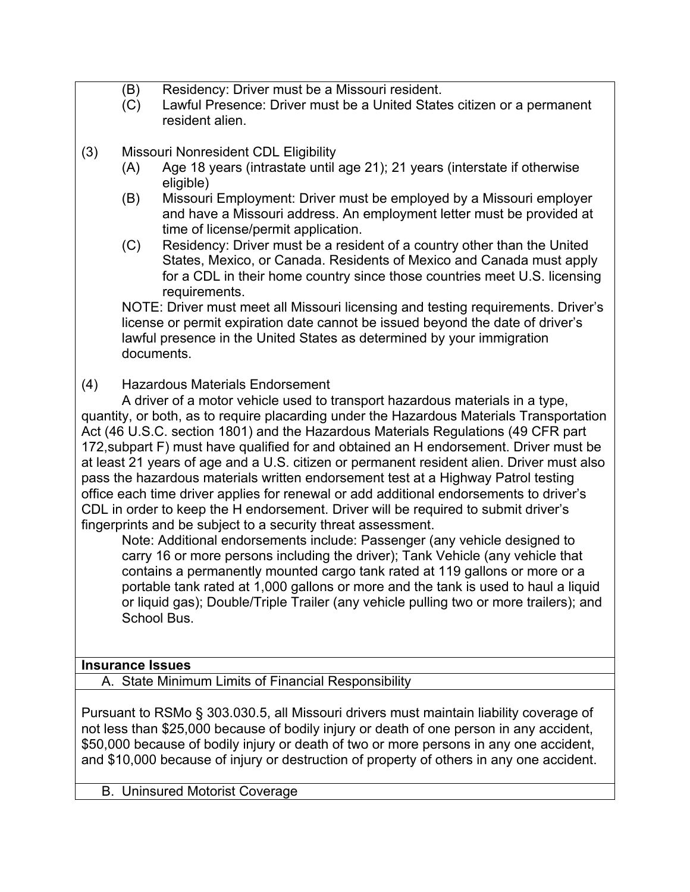- (B) Residency: Driver must be a Missouri resident.
- (C) Lawful Presence: Driver must be a United States citizen or a permanent resident alien.
- (3) Missouri Nonresident CDL Eligibility
	- (A) Age 18 years (intrastate until age 21); 21 years (interstate if otherwise eligible)
	- (B) Missouri Employment: Driver must be employed by a Missouri employer and have a Missouri address. An employment letter must be provided at time of license/permit application.
	- (C) Residency: Driver must be a resident of a country other than the United States, Mexico, or Canada. Residents of Mexico and Canada must apply for a CDL in their home country since those countries meet U.S. licensing requirements.

NOTE: Driver must meet all Missouri licensing and testing requirements. Driver's license or permit expiration date cannot be issued beyond the date of driver's lawful presence in the United States as determined by your immigration documents.

# (4) Hazardous Materials Endorsement

A driver of a motor vehicle used to transport hazardous materials in a type, quantity, or both, as to require placarding under the Hazardous Materials Transportation Act (46 U.S.C. section 1801) and the Hazardous Materials Regulations (49 CFR part 172,subpart F) must have qualified for and obtained an H endorsement. Driver must be at least 21 years of age and a U.S. citizen or permanent resident alien. Driver must also pass the hazardous materials written endorsement test at a Highway Patrol testing office each time driver applies for renewal or add additional endorsements to driver's CDL in order to keep the H endorsement. Driver will be required to submit driver's fingerprints and be subject to a security threat assessment.

Note: Additional endorsements include: Passenger (any vehicle designed to carry 16 or more persons including the driver); Tank Vehicle (any vehicle that contains a permanently mounted cargo tank rated at 119 gallons or more or a portable tank rated at 1,000 gallons or more and the tank is used to haul a liquid or liquid gas); Double/Triple Trailer (any vehicle pulling two or more trailers); and School Bus.

# **Insurance Issues**

A. State Minimum Limits of Financial Responsibility

Pursuant to RSMo § 303.030.5, all Missouri drivers must maintain liability coverage of not less than \$25,000 because of bodily injury or death of one person in any accident, \$50,000 because of bodily injury or death of two or more persons in any one accident, and \$10,000 because of injury or destruction of property of others in any one accident.

B. Uninsured Motorist Coverage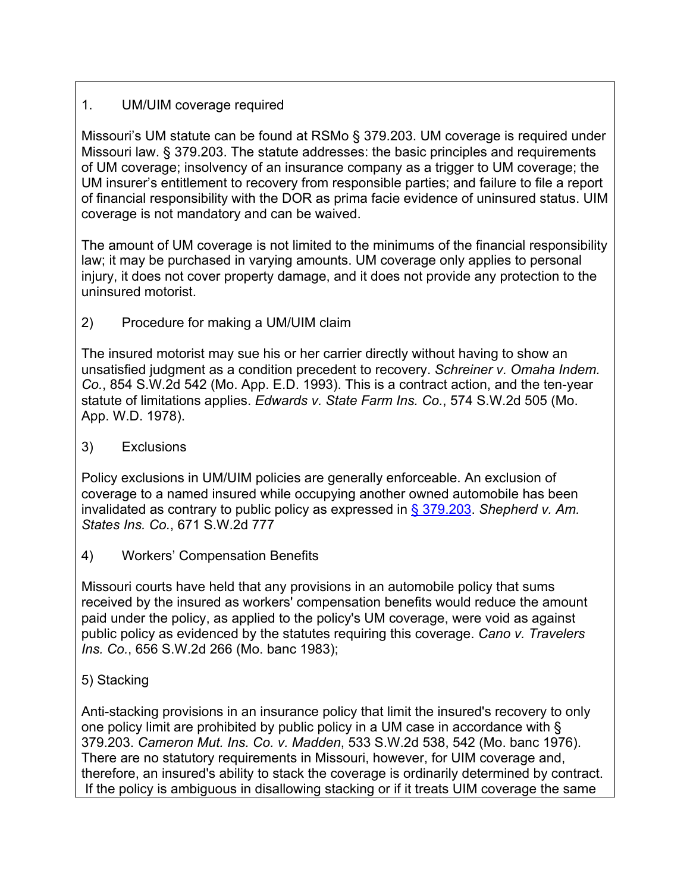## 1. UM/UIM coverage required

Missouri's UM statute can be found at RSMo § 379.203. UM coverage is required under Missouri law. § 379.203. The statute addresses: the basic principles and requirements of UM coverage; insolvency of an insurance company as a trigger to UM coverage; the UM insurer's entitlement to recovery from responsible parties; and failure to file a report of financial responsibility with the DOR as prima facie evidence of uninsured status. UIM coverage is not mandatory and can be waived.

The amount of UM coverage is not limited to the minimums of the financial responsibility law; it may be purchased in varying amounts. UM coverage only applies to personal injury, it does not cover property damage, and it does not provide any protection to the uninsured motorist.

2) Procedure for making a UM/UIM claim

The insured motorist may sue his or her carrier directly without having to show an unsatisfied judgment as a condition precedent to recovery. *Schreiner v. Omaha Indem. Co.*, 854 S.W.2d 542 (Mo. App. E.D. 1993). This is a contract action, and the ten-year statute of limitations applies. *Edwards v. State Farm Ins. Co.*, 574 S.W.2d 505 (Mo. App. W.D. 1978).

3) Exclusions

Policy exclusions in UM/UIM policies are generally enforceable. An exclusion of coverage to a named insured while occupying another owned automobile has been invalidated as contrary to public policy as expressed in § 379.203. *Shepherd v. Am. States Ins. Co.*, 671 S.W.2d 777

4) Workers' Compensation Benefits

Missouri courts have held that any provisions in an automobile policy that sums received by the insured as workers' compensation benefits would reduce the amount paid under the policy, as applied to the policy's UM coverage, were void as against public policy as evidenced by the statutes requiring this coverage. *Cano v. Travelers Ins. Co.*, 656 S.W.2d 266 (Mo. banc 1983);

5) Stacking

Anti-stacking provisions in an insurance policy that limit the insured's recovery to only one policy limit are prohibited by public policy in a UM case in accordance with § 379.203. *Cameron Mut. Ins. Co. v. Madden*, 533 S.W.2d 538, 542 (Mo. banc 1976). There are no statutory requirements in Missouri, however, for UIM coverage and, therefore, an insured's ability to stack the coverage is ordinarily determined by contract. If the policy is ambiguous in disallowing stacking or if it treats UIM coverage the same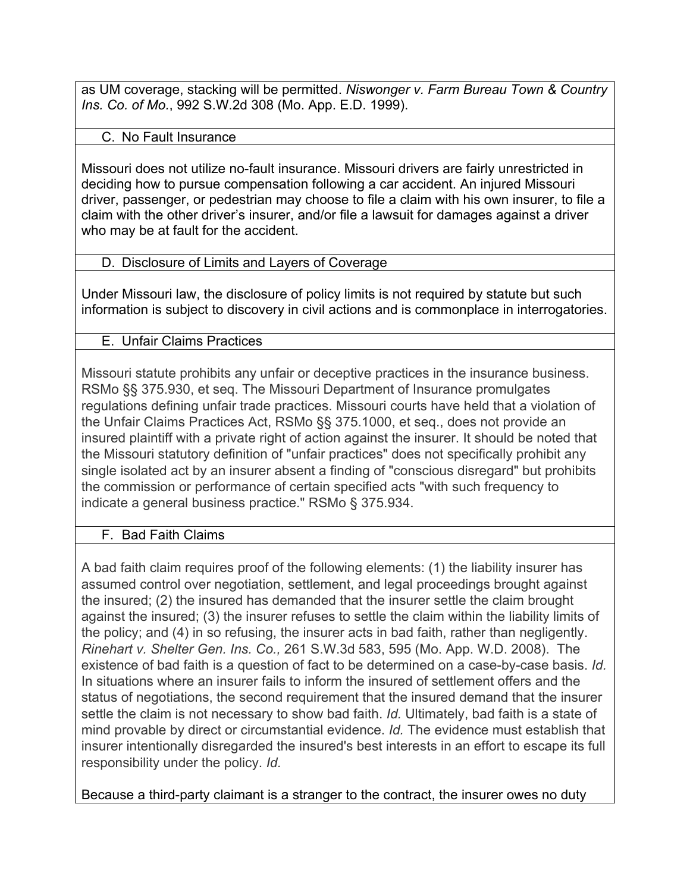as UM coverage, stacking will be permitted. *Niswonger v. Farm Bureau Town & Country Ins. Co. of Mo.*, 992 S.W.2d 308 (Mo. App. E.D. 1999).

## C. No Fault Insurance

Missouri does not utilize no-fault insurance. Missouri drivers are fairly unrestricted in deciding how to pursue compensation following a car accident. An injured Missouri driver, passenger, or pedestrian may choose to file a claim with his own insurer, to file a claim with the other driver's insurer, and/or file a lawsuit for damages against a driver who may be at fault for the accident.

## D. Disclosure of Limits and Layers of Coverage

Under Missouri law, the disclosure of policy limits is not required by statute but such information is subject to discovery in civil actions and is commonplace in interrogatories.

# E. Unfair Claims Practices

Missouri statute prohibits any unfair or deceptive practices in the insurance business. RSMo §§ 375.930, et seq. The Missouri Department of Insurance promulgates regulations defining unfair trade practices. Missouri courts have held that a violation of the Unfair Claims Practices Act, RSMo §§ 375.1000, et seq., does not provide an insured plaintiff with a private right of action against the insurer. It should be noted that the Missouri statutory definition of "unfair practices" does not specifically prohibit any single isolated act by an insurer absent a finding of "conscious disregard" but prohibits the commission or performance of certain specified acts "with such frequency to indicate a general business practice." RSMo § 375.934.

# F. Bad Faith Claims

A bad faith claim requires proof of the following elements: (1) the liability insurer has assumed control over negotiation, settlement, and legal proceedings brought against the insured; (2) the insured has demanded that the insurer settle the claim brought against the insured; (3) the insurer refuses to settle the claim within the liability limits of the policy; and (4) in so refusing, the insurer acts in bad faith, rather than negligently. *Rinehart v. Shelter Gen. Ins. Co.,* 261 S.W.3d 583, 595 (Mo. App. W.D. 2008). The existence of bad faith is a question of fact to be determined on a case-by-case basis. *Id.* In situations where an insurer fails to inform the insured of settlement offers and the status of negotiations, the second requirement that the insured demand that the insurer settle the claim is not necessary to show bad faith. *Id.* Ultimately, bad faith is a state of mind provable by direct or circumstantial evidence. *Id.* The evidence must establish that insurer intentionally disregarded the insured's best interests in an effort to escape its full responsibility under the policy. *Id.*

Because a third-party claimant is a stranger to the contract, the insurer owes no duty